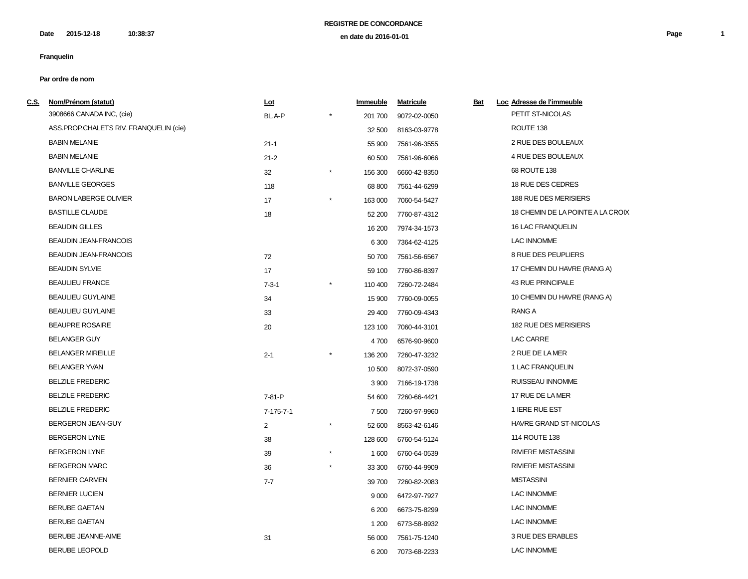**2015-12-18 10:38:37 Page 1 en date du 2016-01-01 Date**

# **Franquelin**

| <u>C.S.</u> | Nom/Prénom (statut)                    | Lot               |            | Immeuble | <b>Matricule</b> | <u>Bat</u> | Loc Adresse de l'immeuble         |
|-------------|----------------------------------------|-------------------|------------|----------|------------------|------------|-----------------------------------|
|             | 3908666 CANADA INC, (cie)              | BL.A-P            |            | 201 700  | 9072-02-0050     |            | PETIT ST-NICOLAS                  |
|             | ASS.PROP.CHALETS RIV. FRANQUELIN (cie) |                   |            | 32 500   | 8163-03-9778     |            | ROUTE 138                         |
|             | <b>BABIN MELANIE</b>                   | $21 - 1$          |            | 55 900   | 7561-96-3555     |            | 2 RUE DES BOULEAUX                |
|             | <b>BABIN MELANIE</b>                   | $21 - 2$          |            | 60 500   | 7561-96-6066     |            | 4 RUE DES BOULEAUX                |
|             | <b>BANVILLE CHARLINE</b>               | 32                | $^{\star}$ | 156 300  | 6660-42-8350     |            | 68 ROUTE 138                      |
|             | <b>BANVILLE GEORGES</b>                | 118               |            | 68 800   | 7561-44-6299     |            | 18 RUE DES CEDRES                 |
|             | <b>BARON LABERGE OLIVIER</b>           | 17                | $\star$    | 163 000  | 7060-54-5427     |            | 188 RUE DES MERISIERS             |
|             | <b>BASTILLE CLAUDE</b>                 | 18                |            | 52 200   | 7760-87-4312     |            | 18 CHEMIN DE LA POINTE A LA CROIX |
|             | <b>BEAUDIN GILLES</b>                  |                   |            | 16 200   | 7974-34-1573     |            | 16 LAC FRANQUELIN                 |
|             | <b>BEAUDIN JEAN-FRANCOIS</b>           |                   |            | 6 3 0 0  | 7364-62-4125     |            | <b>LAC INNOMME</b>                |
|             | <b>BEAUDIN JEAN-FRANCOIS</b>           | 72                |            | 50 700   | 7561-56-6567     |            | 8 RUE DES PEUPLIERS               |
|             | <b>BEAUDIN SYLVIE</b>                  | 17                |            | 59 100   | 7760-86-8397     |            | 17 CHEMIN DU HAVRE (RANG A)       |
|             | <b>BEAULIEU FRANCE</b>                 | $7 - 3 - 1$       |            | 110 400  | 7260-72-2484     |            | <b>43 RUE PRINCIPALE</b>          |
|             | <b>BEAULIEU GUYLAINE</b>               | 34                |            | 15 900   | 7760-09-0055     |            | 10 CHEMIN DU HAVRE (RANG A)       |
|             | <b>BEAULIEU GUYLAINE</b>               | 33                |            | 29 400   | 7760-09-4343     |            | RANG A                            |
|             | <b>BEAUPRE ROSAIRE</b>                 | 20                |            | 123 100  | 7060-44-3101     |            | 182 RUE DES MERISIERS             |
|             | <b>BELANGER GUY</b>                    |                   |            | 4700     | 6576-90-9600     |            | LAC CARRE                         |
|             | <b>BELANGER MIREILLE</b>               | $2 - 1$           |            | 136 200  | 7260-47-3232     |            | 2 RUE DE LA MER                   |
|             | <b>BELANGER YVAN</b>                   |                   |            | 10 500   | 8072-37-0590     |            | 1 LAC FRANQUELIN                  |
|             | <b>BELZILE FREDERIC</b>                |                   |            | 3 9 0 0  | 7166-19-1738     |            | RUISSEAU INNOMME                  |
|             | <b>BELZILE FREDERIC</b>                | 7-81-P            |            | 54 600   | 7260-66-4421     |            | 17 RUE DE LA MER                  |
|             | <b>BELZILE FREDERIC</b>                | $7 - 175 - 7 - 1$ |            | 7 500    | 7260-97-9960     |            | 1 IERE RUE EST                    |
|             | BERGERON JEAN-GUY                      | 2                 | $^{\star}$ | 52 600   | 8563-42-6146     |            | HAVRE GRAND ST-NICOLAS            |
|             | <b>BERGERON LYNE</b>                   | 38                |            | 128 600  | 6760-54-5124     |            | 114 ROUTE 138                     |
|             | <b>BERGERON LYNE</b>                   | 39                | $^{\star}$ | 1 600    | 6760-64-0539     |            | <b>RIVIERE MISTASSINI</b>         |
|             | <b>BERGERON MARC</b>                   | 36                |            | 33 300   | 6760-44-9909     |            | <b>RIVIERE MISTASSINI</b>         |
|             | <b>BERNIER CARMEN</b>                  | $7 - 7$           |            | 39 700   | 7260-82-2083     |            | <b>MISTASSINI</b>                 |
|             | <b>BERNIER LUCIEN</b>                  |                   |            | 9 0 0 0  | 6472-97-7927     |            | <b>LAC INNOMME</b>                |
|             | <b>BERUBE GAETAN</b>                   |                   |            | 6 200    | 6673-75-8299     |            | <b>LAC INNOMME</b>                |
|             | <b>BERUBE GAETAN</b>                   |                   |            | 1 200    | 6773-58-8932     |            | <b>LAC INNOMME</b>                |
|             | <b>BERUBE JEANNE-AIME</b>              | 31                |            | 56 000   | 7561-75-1240     |            | 3 RUE DES ERABLES                 |
|             | <b>BERUBE LEOPOLD</b>                  |                   |            | 6 200    | 7073-68-2233     |            | <b>LAC INNOMME</b>                |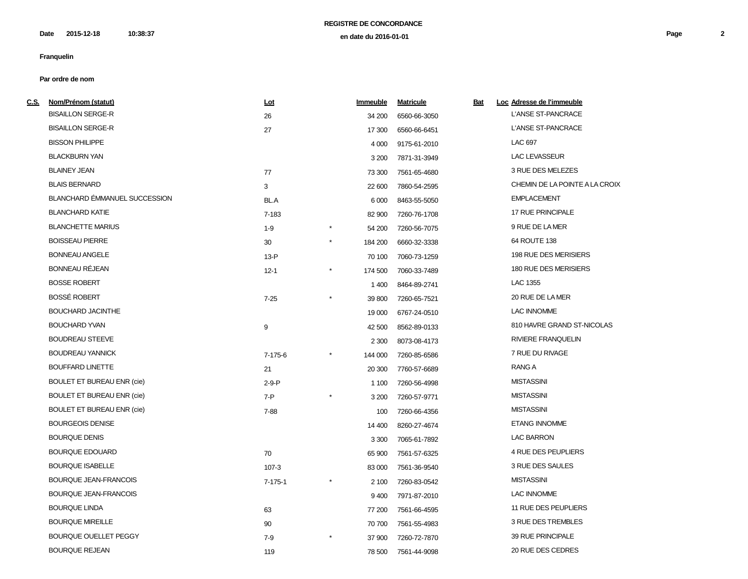**2015-12-18 10:38:37 Page 2 en date du 2016-01-01 Date**

# **Franquelin**

| <u>c.s.</u> | Nom/Prénom (statut)               | <u>Lot</u>    |            | Immeuble | <b>Matricule</b> | <b>Bat</b> | Loc Adresse de l'immeuble      |
|-------------|-----------------------------------|---------------|------------|----------|------------------|------------|--------------------------------|
|             | <b>BISAILLON SERGE-R</b>          | 26            |            | 34 200   | 6560-66-3050     |            | <b>L'ANSE ST-PANCRACE</b>      |
|             | <b>BISAILLON SERGE-R</b>          | 27            |            | 17 300   | 6560-66-6451     |            | L'ANSE ST-PANCRACE             |
|             | <b>BISSON PHILIPPE</b>            |               |            | 4 0 0 0  | 9175-61-2010     |            | LAC 697                        |
|             | <b>BLACKBURN YAN</b>              |               |            | 3 2 0 0  | 7871-31-3949     |            | <b>LAC LEVASSEUR</b>           |
|             | <b>BLAINEY JEAN</b>               | 77            |            | 73 300   | 7561-65-4680     |            | 3 RUE DES MELEZES              |
|             | <b>BLAIS BERNARD</b>              | 3             |            | 22 600   | 7860-54-2595     |            | CHEMIN DE LA POINTE A LA CROIX |
|             | BLANCHARD ÉMMANUEL SUCCESSION     | BL.A          |            | 6 0 0 0  | 8463-55-5050     |            | <b>EMPLACEMENT</b>             |
|             | <b>BLANCHARD KATIE</b>            | 7-183         |            | 82 900   | 7260-76-1708     |            | 17 RUE PRINCIPALE              |
|             | <b>BLANCHETTE MARIUS</b>          | $1 - 9$       |            | 54 200   | 7260-56-7075     |            | 9 RUE DE LA MER                |
|             | <b>BOISSEAU PIERRE</b>            | 30            | $\star$    | 184 200  | 6660-32-3338     |            | 64 ROUTE 138                   |
|             | <b>BONNEAU ANGELE</b>             | $13 - P$      |            | 70 100   | 7060-73-1259     |            | 198 RUE DES MERISIERS          |
|             | BONNEAU RÉJEAN                    | $12 - 1$      | $^\star$   | 174 500  | 7060-33-7489     |            | 180 RUE DES MERISIERS          |
|             | <b>BOSSE ROBERT</b>               |               |            | 1 400    | 8464-89-2741     |            | LAC 1355                       |
|             | <b>BOSSÉ ROBERT</b>               | $7 - 25$      | $_{\star}$ | 39 800   | 7260-65-7521     |            | 20 RUE DE LA MER               |
|             | <b>BOUCHARD JACINTHE</b>          |               |            | 19 000   | 6767-24-0510     |            | <b>LAC INNOMME</b>             |
|             | <b>BOUCHARD YVAN</b>              | 9             |            | 42 500   | 8562-89-0133     |            | 810 HAVRE GRAND ST-NICOLAS     |
|             | <b>BOUDREAU STEEVE</b>            |               |            | 2 3 0 0  | 8073-08-4173     |            | <b>RIVIERE FRANQUELIN</b>      |
|             | <b>BOUDREAU YANNICK</b>           | $7 - 175 - 6$ |            | 144 000  | 7260-85-6586     |            | 7 RUE DU RIVAGE                |
|             | <b>BOUFFARD LINETTE</b>           | 21            |            | 20 300   | 7760-57-6689     |            | RANG A                         |
|             | <b>BOULET ET BUREAU ENR (cie)</b> | $2-9-P$       |            | 1 100    | 7260-56-4998     |            | <b>MISTASSINI</b>              |
|             | <b>BOULET ET BUREAU ENR (cie)</b> | $7 - P$       |            | 3 2 0 0  | 7260-57-9771     |            | <b>MISTASSINI</b>              |
|             | <b>BOULET ET BUREAU ENR (cie)</b> | 7-88          |            | 100      | 7260-66-4356     |            | <b>MISTASSINI</b>              |
|             | <b>BOURGEOIS DENISE</b>           |               |            | 14 400   | 8260-27-4674     |            | <b>ETANG INNOMME</b>           |
|             | <b>BOURQUE DENIS</b>              |               |            | 3 3 0 0  | 7065-61-7892     |            | <b>LAC BARRON</b>              |
|             | <b>BOURQUE EDOUARD</b>            | 70            |            | 65 900   | 7561-57-6325     |            | 4 RUE DES PEUPLIERS            |
|             | <b>BOURQUE ISABELLE</b>           | $107 - 3$     |            | 83 000   | 7561-36-9540     |            | 3 RUE DES SAULES               |
|             | <b>BOURQUE JEAN-FRANCOIS</b>      | $7 - 175 - 1$ |            | 2 100    | 7260-83-0542     |            | <b>MISTASSINI</b>              |
|             | <b>BOURQUE JEAN-FRANCOIS</b>      |               |            | 9400     | 7971-87-2010     |            | <b>LAC INNOMME</b>             |
|             | <b>BOURQUE LINDA</b>              | 63            |            | 77 200   | 7561-66-4595     |            | 11 RUE DES PEUPLIERS           |
|             | <b>BOURQUE MIREILLE</b>           | 90            |            | 70 700   | 7561-55-4983     |            | 3 RUE DES TREMBLES             |
|             | BOURQUE OUELLET PEGGY             | $7-9$         |            | 37 900   | 7260-72-7870     |            | 39 RUE PRINCIPALE              |
|             | <b>BOURQUE REJEAN</b>             | 119           |            | 78 500   | 7561-44-9098     |            | 20 RUE DES CEDRES              |
|             |                                   |               |            |          |                  |            |                                |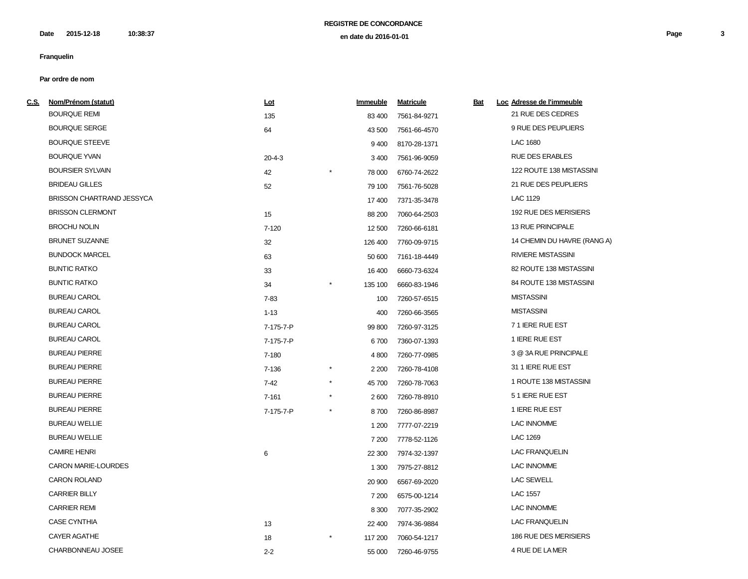**2015-12-18 10:38:37 Page 3 en date du 2016-01-01 Date**

# **Franquelin**

| <u>C.S.</u> | Nom/Prénom (statut)              | <u>Lot</u>   | <b>Immeuble</b>   | <b>Matricule</b> | <b>Bat</b> | Loc Adresse de l'immeuble   |
|-------------|----------------------------------|--------------|-------------------|------------------|------------|-----------------------------|
|             | <b>BOURQUE REMI</b>              | 135          | 83 400            | 7561-84-9271     |            | 21 RUE DES CEDRES           |
|             | <b>BOURQUE SERGE</b>             | 64           | 43 500            | 7561-66-4570     |            | 9 RUE DES PEUPLIERS         |
|             | <b>BOURQUE STEEVE</b>            |              | 9400              | 8170-28-1371     |            | <b>LAC 1680</b>             |
|             | <b>BOURQUE YVAN</b>              | $20 - 4 - 3$ | 3 4 0 0           | 7561-96-9059     |            | <b>RUE DES ERABLES</b>      |
|             | <b>BOURSIER SYLVAIN</b>          | 42           | 78 000            | 6760-74-2622     |            | 122 ROUTE 138 MISTASSINI    |
|             | <b>BRIDEAU GILLES</b>            | 52           | 79 100            | 7561-76-5028     |            | 21 RUE DES PEUPLIERS        |
|             | <b>BRISSON CHARTRAND JESSYCA</b> |              | 17400             | 7371-35-3478     |            | LAC 1129                    |
|             | <b>BRISSON CLERMONT</b>          | 15           | 88 200            | 7060-64-2503     |            | 192 RUE DES MERISIERS       |
|             | <b>BROCHU NOLIN</b>              | $7 - 120$    | 12 500            | 7260-66-6181     |            | 13 RUE PRINCIPALE           |
|             | <b>BRUNET SUZANNE</b>            | 32           | 126 400           | 7760-09-9715     |            | 14 CHEMIN DU HAVRE (RANG A) |
|             | <b>BUNDOCK MARCEL</b>            | 63           | 50 600            | 7161-18-4449     |            | <b>RIVIERE MISTASSINI</b>   |
|             | <b>BUNTIC RATKO</b>              | 33           | 16 400            | 6660-73-6324     |            | 82 ROUTE 138 MISTASSINI     |
|             | <b>BUNTIC RATKO</b>              | 34           | 135 100           | 6660-83-1946     |            | 84 ROUTE 138 MISTASSINI     |
|             | <b>BUREAU CAROL</b>              | $7 - 83$     | 100               | 7260-57-6515     |            | <b>MISTASSINI</b>           |
|             | <b>BUREAU CAROL</b>              | $1 - 13$     | 400               | 7260-66-3565     |            | <b>MISTASSINI</b>           |
|             | <b>BUREAU CAROL</b>              | 7-175-7-P    | 99 800            | 7260-97-3125     |            | 71 IERE RUE EST             |
|             | <b>BUREAU CAROL</b>              | 7-175-7-P    | 6700              | 7360-07-1393     |            | 1 IERE RUE EST              |
|             | <b>BUREAU PIERRE</b>             | 7-180        | 4 8 0 0           | 7260-77-0985     |            | 3 @ 3A RUE PRINCIPALE       |
|             | <b>BUREAU PIERRE</b>             | 7-136        | 2 2 0 0           | 7260-78-4108     |            | 31 1 IERE RUE EST           |
|             | <b>BUREAU PIERRE</b>             | $7 - 42$     | $\star$<br>45 700 | 7260-78-7063     |            | 1 ROUTE 138 MISTASSINI      |
|             | <b>BUREAU PIERRE</b>             | $7 - 161$    | $\star$<br>2600   | 7260-78-8910     |            | 51 IERE RUE EST             |
|             | <b>BUREAU PIERRE</b>             | 7-175-7-P    | $\star$<br>8700   | 7260-86-8987     |            | 1 IERE RUE EST              |
|             | <b>BUREAU WELLIE</b>             |              | 1 200             | 7777-07-2219     |            | <b>LAC INNOMME</b>          |
|             | <b>BUREAU WELLIE</b>             |              | 7 200             | 7778-52-1126     |            | LAC 1269                    |
|             | <b>CAMIRE HENRI</b>              | 6            | 22 300            | 7974-32-1397     |            | <b>LAC FRANQUELIN</b>       |
|             | CARON MARIE-LOURDES              |              | 1 300             | 7975-27-8812     |            | <b>LAC INNOMME</b>          |
|             | <b>CARON ROLAND</b>              |              | 20 900            | 6567-69-2020     |            | <b>LAC SEWELL</b>           |
|             | <b>CARRIER BILLY</b>             |              | 7 200             | 6575-00-1214     |            | <b>LAC 1557</b>             |
|             | <b>CARRIER REMI</b>              |              | 8 3 0 0           | 7077-35-2902     |            | <b>LAC INNOMME</b>          |
|             | <b>CASE CYNTHIA</b>              | 13           | 22 400            | 7974-36-9884     |            | <b>LAC FRANQUELIN</b>       |
|             | <b>CAYER AGATHE</b>              | 18           | 117 200           | 7060-54-1217     |            | 186 RUE DES MERISIERS       |
|             | CHARBONNEAU JOSEE                | $2 - 2$      | 55 000            | 7260-46-9755     |            | 4 RUE DE LA MER             |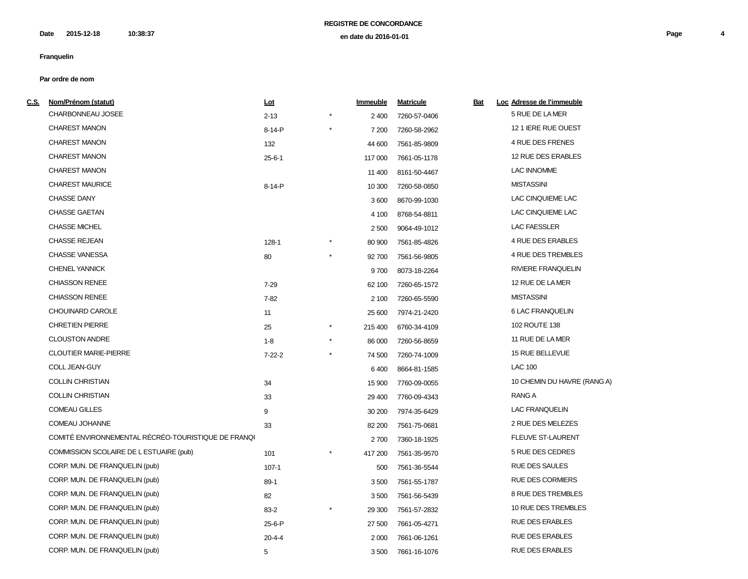**2015-12-18 10:38:37 Page 4 en date du 2016-01-01 Date**

# **Franquelin**

| <u>C.S.</u> | Nom/Prénom (statut)                                 | <u>Lot</u>   |         | Immeuble | <b>Matricule</b> | <u>Bat</u> | Loc Adresse de l'immeuble   |
|-------------|-----------------------------------------------------|--------------|---------|----------|------------------|------------|-----------------------------|
|             | CHARBONNEAU JOSEE                                   | $2 - 13$     |         | 2 400    | 7260-57-0406     |            | 5 RUE DE LA MER             |
|             | <b>CHAREST MANON</b>                                | 8-14-P       |         | 7 200    | 7260-58-2962     |            | 12 1 IERE RUE OUEST         |
|             | <b>CHAREST MANON</b>                                | 132          |         | 44 600   | 7561-85-9809     |            | 4 RUE DES FRENES            |
|             | <b>CHAREST MANON</b>                                | $25 - 6 - 1$ |         | 117 000  | 7661-05-1178     |            | 12 RUE DES ERABLES          |
|             | <b>CHAREST MANON</b>                                |              |         | 11 400   | 8161-50-4467     |            | <b>LAC INNOMME</b>          |
|             | <b>CHAREST MAURICE</b>                              | 8-14-P       |         | 10 300   | 7260-58-0850     |            | <b>MISTASSINI</b>           |
|             | <b>CHASSE DANY</b>                                  |              |         | 3600     | 8670-99-1030     |            | LAC CINQUIEME LAC           |
|             | <b>CHASSE GAETAN</b>                                |              |         | 4 100    | 8768-54-8811     |            | LAC CINQUIEME LAC           |
|             | <b>CHASSE MICHEL</b>                                |              |         | 2 500    | 9064-49-1012     |            | <b>LAC FAESSLER</b>         |
|             | <b>CHASSE REJEAN</b>                                | $128 - 1$    |         | 80 900   | 7561-85-4826     |            | 4 RUE DES ERABLES           |
|             | <b>CHASSE VANESSA</b>                               | 80           | $\star$ | 92 700   | 7561-56-9805     |            | 4 RUE DES TREMBLES          |
|             | <b>CHENEL YANNICK</b>                               |              |         | 9700     | 8073-18-2264     |            | <b>RIVIERE FRANQUELIN</b>   |
|             | <b>CHIASSON RENEE</b>                               | $7 - 29$     |         | 62 100   | 7260-65-1572     |            | 12 RUE DE LA MER            |
|             | <b>CHIASSON RENEE</b>                               | $7 - 82$     |         | 2 100    | 7260-65-5590     |            | <b>MISTASSINI</b>           |
|             | CHOUINARD CAROLE                                    | 11           |         | 25 600   | 7974-21-2420     |            | <b>6 LAC FRANQUELIN</b>     |
|             | <b>CHRETIEN PIERRE</b>                              | 25           |         | 215 400  | 6760-34-4109     |            | 102 ROUTE 138               |
|             | <b>CLOUSTON ANDRE</b>                               | $1 - 8$      | $\star$ | 86 000   | 7260-56-8659     |            | 11 RUE DE LA MER            |
|             | <b>CLOUTIER MARIE-PIERRE</b>                        | $7 - 22 - 2$ |         | 74 500   | 7260-74-1009     |            | 15 RUE BELLEVUE             |
|             | COLL JEAN-GUY                                       |              |         | 6400     | 8664-81-1585     |            | <b>LAC 100</b>              |
|             | <b>COLLIN CHRISTIAN</b>                             | 34           |         | 15 900   | 7760-09-0055     |            | 10 CHEMIN DU HAVRE (RANG A) |
|             | <b>COLLIN CHRISTIAN</b>                             | 33           |         | 29 400   | 7760-09-4343     |            | RANG A                      |
|             | <b>COMEAU GILLES</b>                                | 9            |         | 30 200   | 7974-35-6429     |            | LAC FRANQUELIN              |
|             | COMEAU JOHANNE                                      | 33           |         | 82 200   | 7561-75-0681     |            | 2 RUE DES MELEZES           |
|             | COMITÉ ENVIRONNEMENTAL RÉCRÉO-TOURISTIQUE DE FRANQU |              |         | 2700     | 7360-18-1925     |            | <b>FLEUVE ST-LAURENT</b>    |
|             | COMMISSION SCOLAIRE DE L ESTUAIRE (pub)             | 101          |         | 417 200  | 7561-35-9570     |            | 5 RUE DES CEDRES            |
|             | CORP. MUN. DE FRANQUELIN (pub)                      | $107 - 1$    |         | 500      | 7561-36-5544     |            | <b>RUE DES SAULES</b>       |
|             | CORP. MUN. DE FRANQUELIN (pub)                      | $89-1$       |         | 3500     | 7561-55-1787     |            | <b>RUE DES CORMIERS</b>     |
|             | CORP. MUN. DE FRANQUELIN (pub)                      | 82           |         | 3 500    | 7561-56-5439     |            | 8 RUE DES TREMBLES          |
|             | CORP. MUN. DE FRANQUELIN (pub)                      | $83 - 2$     |         | 29 300   | 7561-57-2832     |            | 10 RUE DES TREMBLES         |
|             | CORP. MUN. DE FRANQUELIN (pub)                      | 25-6-P       |         | 27 500   | 7661-05-4271     |            | <b>RUE DES ERABLES</b>      |
|             | CORP. MUN. DE FRANQUELIN (pub)                      | $20 - 4 - 4$ |         | 2 0 0 0  | 7661-06-1261     |            | <b>RUE DES ERABLES</b>      |
|             | CORP. MUN. DE FRANQUELIN (pub)                      | 5            |         | 3500     | 7661-16-1076     |            | <b>RUE DES ERABLES</b>      |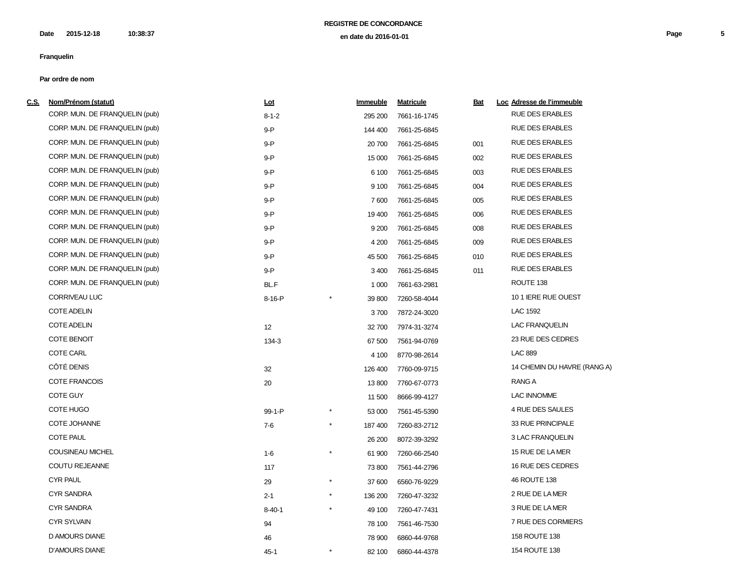| <u>c.s.</u> | Nom/Prénom (statut)            | <u>Lot</u>   |            | <b>Immeuble</b> | <b>Matricule</b> | <b>Bat</b> | Loc Adresse de l'immeuble   |
|-------------|--------------------------------|--------------|------------|-----------------|------------------|------------|-----------------------------|
|             | CORP. MUN. DE FRANQUELIN (pub) | $8 - 1 - 2$  |            | 295 200         | 7661-16-1745     |            | <b>RUE DES ERABLES</b>      |
|             | CORP. MUN. DE FRANQUELIN (pub) | 9-P          |            | 144 400         | 7661-25-6845     |            | <b>RUE DES ERABLES</b>      |
|             | CORP. MUN. DE FRANQUELIN (pub) | 9-P          |            | 20 700          | 7661-25-6845     | 001        | RUE DES ERABLES             |
|             | CORP. MUN. DE FRANQUELIN (pub) | 9-P          |            | 15 000          | 7661-25-6845     | 002        | <b>RUE DES ERABLES</b>      |
|             | CORP. MUN. DE FRANQUELIN (pub) | $9 - P$      |            | 6 100           | 7661-25-6845     | 003        | <b>RUE DES ERABLES</b>      |
|             | CORP. MUN. DE FRANQUELIN (pub) | $9 - P$      |            | 9 100           | 7661-25-6845     | 004        | <b>RUE DES ERABLES</b>      |
|             | CORP. MUN. DE FRANQUELIN (pub) | 9-P          |            | 7600            | 7661-25-6845     | 005        | <b>RUE DES ERABLES</b>      |
|             | CORP. MUN. DE FRANQUELIN (pub) | 9-P          |            | 19 400          | 7661-25-6845     | 006        | <b>RUE DES ERABLES</b>      |
|             | CORP. MUN. DE FRANQUELIN (pub) | 9-P          |            | 9 2 0 0         | 7661-25-6845     | 008        | <b>RUE DES ERABLES</b>      |
|             | CORP. MUN. DE FRANQUELIN (pub) | 9-P          |            | 4 200           | 7661-25-6845     | 009        | <b>RUE DES ERABLES</b>      |
|             | CORP. MUN. DE FRANQUELIN (pub) | 9-P          |            | 45 500          | 7661-25-6845     | 010        | <b>RUE DES ERABLES</b>      |
|             | CORP. MUN. DE FRANQUELIN (pub) | 9-P          |            | 3 4 0 0         | 7661-25-6845     | 011        | <b>RUE DES ERABLES</b>      |
|             | CORP. MUN. DE FRANQUELIN (pub) | BL.F         |            | 1 0 0 0         | 7661-63-2981     |            | ROUTE 138                   |
|             | <b>CORRIVEAU LUC</b>           | 8-16-P       |            | 39 800          | 7260-58-4044     |            | 10 1 IERE RUE OUEST         |
|             | <b>COTE ADELIN</b>             |              |            | 3700            | 7872-24-3020     |            | LAC 1592                    |
|             | <b>COTE ADELIN</b>             | 12           |            | 32700           | 7974-31-3274     |            | <b>LAC FRANQUELIN</b>       |
|             | <b>COTE BENOIT</b>             | 134-3        |            | 67 500          | 7561-94-0769     |            | 23 RUE DES CEDRES           |
|             | <b>COTE CARL</b>               |              |            | 4 100           | 8770-98-2614     |            | <b>LAC 889</b>              |
|             | CÔTÉ DENIS                     | 32           |            | 126 400         | 7760-09-9715     |            | 14 CHEMIN DU HAVRE (RANG A) |
|             | <b>COTE FRANCOIS</b>           | 20           |            | 13800           | 7760-67-0773     |            | RANG A                      |
|             | <b>COTE GUY</b>                |              |            | 11 500          | 8666-99-4127     |            | <b>LAC INNOMME</b>          |
|             | <b>COTE HUGO</b>               | 99-1-P       |            | 53 000          | 7561-45-5390     |            | 4 RUE DES SAULES            |
|             | <b>COTE JOHANNE</b>            | $7 - 6$      | $^{\star}$ | 187 400         | 7260-83-2712     |            | 33 RUE PRINCIPALE           |
|             | <b>COTE PAUL</b>               |              |            | 26 200          | 8072-39-3292     |            | 3 LAC FRANQUELIN            |
|             | COUSINEAU MICHEL               | $1 - 6$      | $^\star$   | 61 900          | 7260-66-2540     |            | 15 RUE DE LA MER            |
|             | <b>COUTU REJEANNE</b>          | 117          |            | 73 800          | 7561-44-2796     |            | 16 RUE DES CEDRES           |
|             | <b>CYR PAUL</b>                | 29           | $\star$    | 37 600          | 6560-76-9229     |            | 46 ROUTE 138                |
|             | <b>CYR SANDRA</b>              | $2 - 1$      | $\star$    | 136 200         | 7260-47-3232     |            | 2 RUE DE LA MER             |
|             | <b>CYR SANDRA</b>              | $8 - 40 - 1$ | $\star$    | 49 100          | 7260-47-7431     |            | 3 RUE DE LA MER             |
|             | <b>CYR SYLVAIN</b>             | 94           |            | 78 100          | 7561-46-7530     |            | 7 RUE DES CORMIERS          |
|             | D AMOURS DIANE                 | 46           |            | 78 900          | 6860-44-9768     |            | 158 ROUTE 138               |
|             | <b>D'AMOURS DIANE</b>          | $45 - 1$     |            | 82 100          | 6860-44-4378     |            | 154 ROUTE 138               |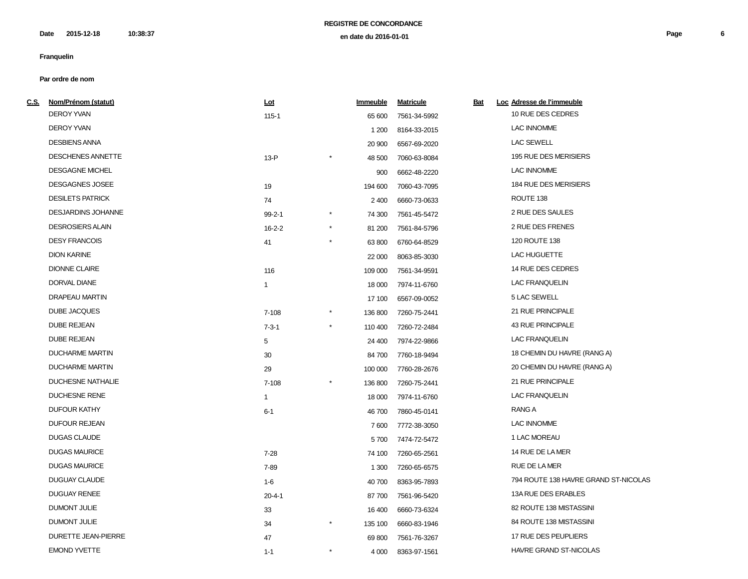**2015-12-18 10:38:37 Page 6 en date du 2016-01-01 Date**

# **Franquelin**

| C.S. Nom/Prénom (statut)   | Lot          |          | Immeuble | <b>Matricule</b> | <u>Bat</u> | Loc Adresse de l'immeuble            |
|----------------------------|--------------|----------|----------|------------------|------------|--------------------------------------|
| <b>DEROY YVAN</b>          | $115 - 1$    |          | 65 600   | 7561-34-5992     |            | 10 RUE DES CEDRES                    |
| <b>DEROY YVAN</b>          |              |          | 1 200    | 8164-33-2015     |            | <b>LAC INNOMME</b>                   |
| <b>DESBIENS ANNA</b>       |              |          | 20 900   | 6567-69-2020     |            | <b>LAC SEWELL</b>                    |
| DESCHENES ANNETTE          | $13-P$       |          | 48 500   | 7060-63-8084     |            | 195 RUE DES MERISIERS                |
| <b>DESGAGNE MICHEL</b>     |              |          | 900      | 6662-48-2220     |            | <b>LAC INNOMME</b>                   |
| DESGAGNES JOSEE            | 19           |          | 194 600  | 7060-43-7095     |            | 184 RUE DES MERISIERS                |
| <b>DESILETS PATRICK</b>    | 74           |          | 2 4 0 0  | 6660-73-0633     |            | ROUTE 138                            |
| <b>DESJARDINS JOHANNE</b>  | $99 - 2 - 1$ |          | 74 300   | 7561-45-5472     |            | 2 RUE DES SAULES                     |
| <b>DESROSIERS ALAIN</b>    | $16 - 2 - 2$ |          | 81 200   | 7561-84-5796     |            | 2 RUE DES FRENES                     |
| <b>DESY FRANCOIS</b>       | 41           |          | 63 800   | 6760-64-8529     |            | 120 ROUTE 138                        |
| <b>DION KARINE</b>         |              |          | 22 000   | 8063-85-3030     |            | LAC HUGUETTE                         |
| <b>DIONNE CLAIRE</b>       | 116          |          | 109 000  | 7561-34-9591     |            | 14 RUE DES CEDRES                    |
| DORVAL DIANE               | $\mathbf{1}$ |          | 18 000   | 7974-11-6760     |            | <b>LAC FRANQUELIN</b>                |
| <b>DRAPEAU MARTIN</b>      |              |          | 17 100   | 6567-09-0052     |            | 5 LAC SEWELL                         |
| <b>DUBE JACQUES</b>        | 7-108        |          | 136 800  | 7260-75-2441     |            | 21 RUE PRINCIPALE                    |
| <b>DUBE REJEAN</b>         | $7 - 3 - 1$  |          | 110 400  | 7260-72-2484     |            | <b>43 RUE PRINCIPALE</b>             |
| <b>DUBE REJEAN</b>         | 5            |          | 24 400   | 7974-22-9866     |            | <b>LAC FRANQUELIN</b>                |
| <b>DUCHARME MARTIN</b>     | 30           |          | 84 700   | 7760-18-9494     |            | 18 CHEMIN DU HAVRE (RANG A)          |
| <b>DUCHARME MARTIN</b>     | 29           |          | 100 000  | 7760-28-2676     |            | 20 CHEMIN DU HAVRE (RANG A)          |
| <b>DUCHESNE NATHALIE</b>   | 7-108        |          | 136 800  | 7260-75-2441     |            | 21 RUE PRINCIPALE                    |
| <b>DUCHESNE RENE</b>       | $\mathbf{1}$ |          | 18 000   | 7974-11-6760     |            | <b>LAC FRANQUELIN</b>                |
| <b>DUFOUR KATHY</b>        | $6 - 1$      |          | 46700    | 7860-45-0141     |            | RANG A                               |
| <b>DUFOUR REJEAN</b>       |              |          | 7600     | 7772-38-3050     |            | <b>LAC INNOMME</b>                   |
| <b>DUGAS CLAUDE</b>        |              |          | 5700     | 7474-72-5472     |            | 1 LAC MOREAU                         |
| <b>DUGAS MAURICE</b>       | $7 - 28$     |          | 74 100   | 7260-65-2561     |            | 14 RUE DE LA MER                     |
| <b>DUGAS MAURICE</b>       | 7-89         |          | 1 300    | 7260-65-6575     |            | RUE DE LA MER                        |
| <b>DUGUAY CLAUDE</b>       | $1-6$        |          | 40 700   | 8363-95-7893     |            | 794 ROUTE 138 HAVRE GRAND ST-NICOLAS |
| <b>DUGUAY RENEE</b>        | $20 - 4 - 1$ |          | 87700    | 7561-96-5420     |            | 13A RUE DES ERABLES                  |
| DUMONT JULIE               | 33           |          | 16 400   | 6660-73-6324     |            | 82 ROUTE 138 MISTASSINI              |
| DUMONT JULIE               | 34           | $^\star$ | 135 100  | 6660-83-1946     |            | 84 ROUTE 138 MISTASSINI              |
| <b>DURETTE JEAN-PIERRE</b> | 47           |          | 69 800   | 7561-76-3267     |            | 17 RUE DES PEUPLIERS                 |
| <b>EMOND YVETTE</b>        | $1 - 1$      | $^\star$ | 4 0 0 0  | 8363-97-1561     |            | HAVRE GRAND ST-NICOLAS               |
|                            |              |          |          |                  |            |                                      |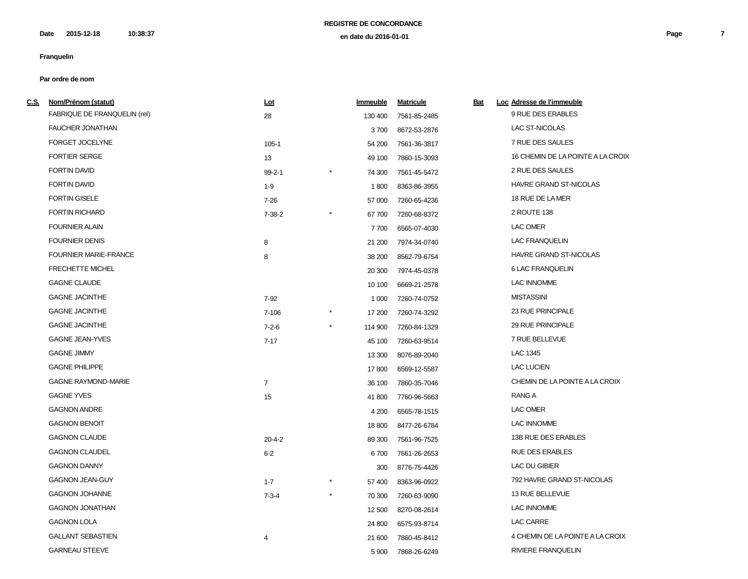**2015-12-18 10:38:37 Page 7 en date du 2016-01-01 Date**

# **Franquelin**

| <u>C.S. Nom/Prénom (statut)</u> | Lot            | Immeuble | <b>Matricule</b> | Bat | Loc Adresse de l'immeuble         |
|---------------------------------|----------------|----------|------------------|-----|-----------------------------------|
| FABRIQUE DE FRANQUELIN (rel)    | 28             | 130 400  | 7561-85-2485     |     | 9 RUE DES ERABLES                 |
| <b>FAUCHER JONATHAN</b>         |                | 3700     | 8672-53-2876     |     | LAC ST-NICOLAS                    |
| FORGET JOCELYNE                 | $105 - 1$      | 54 200   | 7561-36-3817     |     | 7 RUE DES SAULES                  |
| <b>FORTIER SERGE</b>            | 13             | 49 100   | 7860-15-3093     |     | 16 CHEMIN DE LA POINTE A LA CROIX |
| <b>FORTIN DAVID</b>             | $99 - 2 - 1$   | 74 300   | 7561-45-5472     |     | 2 RUE DES SAULES                  |
| <b>FORTIN DAVID</b>             | $1 - 9$        | 1800     | 8363-86-3955     |     | HAVRE GRAND ST-NICOLAS            |
| <b>FORTIN GISELE</b>            | $7 - 26$       | 57 000   | 7260-65-4236     |     | 18 RUE DE LA MER                  |
| <b>FORTIN RICHARD</b>           | $7 - 38 - 2$   | 67700    | 7260-68-8372     |     | 2 ROUTE 138                       |
| <b>FOURNIER ALAIN</b>           |                | 7700     | 6565-07-4030     |     | LAC OMER                          |
| <b>FOURNIER DENIS</b>           | 8              | 21 200   | 7974-34-0740     |     | <b>LAC FRANQUELIN</b>             |
| <b>FOURNIER MARIE-FRANCE</b>    | 8              | 38 200   | 8562-79-6754     |     | <b>HAVRE GRAND ST-NICOLAS</b>     |
| <b>FRECHETTE MICHEL</b>         |                | 20 300   | 7974-45-0378     |     | 6 LAC FRANQUELIN                  |
| <b>GAGNE CLAUDE</b>             |                | 10 100   | 6669-21-2578     |     | LAC INNOMME                       |
| <b>GAGNE JACINTHE</b>           | 7-92           | 1 0 0 0  | 7260-74-0752     |     | <b>MISTASSINI</b>                 |
| <b>GAGNE JACINTHE</b>           | $7 - 106$      | 17 200   | 7260-74-3292     |     | 23 RUE PRINCIPALE                 |
| <b>GAGNE JACINTHE</b>           | $7 - 2 - 6$    | 114 900  | 7260-84-1329     |     | 29 RUE PRINCIPALE                 |
| <b>GAGNE JEAN-YVES</b>          | $7 - 17$       | 45 100   | 7260-63-9514     |     | 7 RUE BELLEVUE                    |
| <b>GAGNE JIMMY</b>              |                | 13 300   | 8076-89-2040     |     | LAC 1345                          |
| <b>GAGNE PHILIPPE</b>           |                | 17800    | 6569-12-5587     |     | <b>LAC LUCIEN</b>                 |
| <b>GAGNE RAYMOND-MARIE</b>      | $\overline{7}$ | 36 100   | 7860-35-7046     |     | CHEMIN DE LA POINTE A LA CROIX    |
| <b>GAGNE YVES</b>               | 15             | 41 800   | 7760-96-5663     |     | RANG A                            |
| <b>GAGNON ANDRE</b>             |                | 4 200    | 6565-78-1515     |     | LAC OMER                          |
| <b>GAGNON BENOIT</b>            |                | 18 800   | 8477-26-6784     |     | <b>LAC INNOMME</b>                |
| <b>GAGNON CLAUDE</b>            | $20 - 4 - 2$   | 89 300   | 7561-96-7525     |     | 13B RUE DES ERABLES               |
| <b>GAGNON CLAUDEL</b>           | $6 - 2$        | 6700     | 7661-26-2653     |     | <b>RUE DES ERABLES</b>            |
| <b>GAGNON DANNY</b>             |                | 300      | 8776-75-4426     |     | LAC DU GIBIER                     |
| <b>GAGNON JEAN-GUY</b>          | $1 - 7$        | 57 400   | 8363-96-0922     |     | 792 HAVRE GRAND ST-NICOLAS        |
| <b>GAGNON JOHANNE</b>           | $7 - 3 - 4$    | 70 300   | 7260-63-9090     |     | 13 RUE BELLEVUE                   |
| <b>GAGNON JONATHAN</b>          |                | 12 500   | 8270-08-2614     |     | <b>LAC INNOMME</b>                |
| <b>GAGNON LOLA</b>              |                | 24 800   | 6575-93-8714     |     | <b>LAC CARRE</b>                  |
| <b>GALLANT SEBASTIEN</b>        | 4              | 21 600   | 7860-45-8412     |     | 4 CHEMIN DE LA POINTE A LA CROIX  |
| <b>GARNEAU STEEVE</b>           |                | 5 9 0 0  | 7868-26-6249     |     | RIVIERE FRANQUELIN                |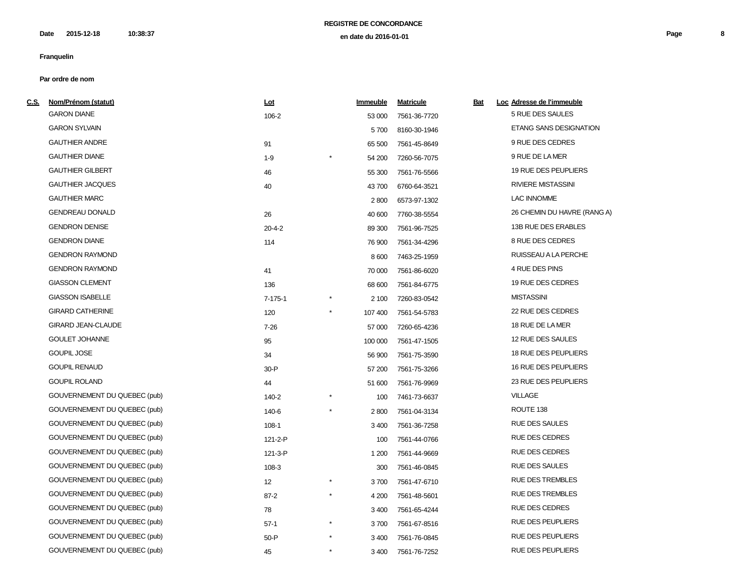| <u>C.S.</u> | Nom/Prénom (statut)          | Lot          |         | Immeuble | <b>Matricule</b> | <u>Bat</u> | Loc Adresse de l'immeuble   |
|-------------|------------------------------|--------------|---------|----------|------------------|------------|-----------------------------|
|             | <b>GARON DIANE</b>           | 106-2        |         | 53 000   | 7561-36-7720     |            | 5 RUE DES SAULES            |
|             | <b>GARON SYLVAIN</b>         |              |         | 5700     | 8160-30-1946     |            | ETANG SANS DESIGNATION      |
|             | <b>GAUTHIER ANDRE</b>        | 91           |         | 65 500   | 7561-45-8649     |            | 9 RUE DES CEDRES            |
|             | <b>GAUTHIER DIANE</b>        | $1 - 9$      |         | 54 200   | 7260-56-7075     |            | 9 RUE DE LA MER             |
|             | <b>GAUTHIER GILBERT</b>      | 46           |         | 55 300   | 7561-76-5566     |            | 19 RUE DES PEUPLIERS        |
|             | <b>GAUTHIER JACQUES</b>      | 40           |         | 43700    | 6760-64-3521     |            | <b>RIVIERE MISTASSINI</b>   |
|             | <b>GAUTHIER MARC</b>         |              |         | 2800     | 6573-97-1302     |            | <b>LAC INNOMME</b>          |
|             | <b>GENDREAU DONALD</b>       | 26           |         | 40 600   | 7760-38-5554     |            | 26 CHEMIN DU HAVRE (RANG A) |
|             | <b>GENDRON DENISE</b>        | $20 - 4 - 2$ |         | 89 300   | 7561-96-7525     |            | 13B RUE DES ERABLES         |
|             | <b>GENDRON DIANE</b>         | 114          |         | 76 900   | 7561-34-4296     |            | 8 RUE DES CEDRES            |
|             | <b>GENDRON RAYMOND</b>       |              |         | 8 600    | 7463-25-1959     |            | RUISSEAU A LA PERCHE        |
|             | <b>GENDRON RAYMOND</b>       | 41           |         | 70 000   | 7561-86-6020     |            | 4 RUE DES PINS              |
|             | <b>GIASSON CLEMENT</b>       | 136          |         | 68 600   | 7561-84-6775     |            | 19 RUE DES CEDRES           |
|             | <b>GIASSON ISABELLE</b>      | 7-175-1      |         | 2 100    | 7260-83-0542     |            | <b>MISTASSINI</b>           |
|             | <b>GIRARD CATHERINE</b>      | 120          |         | 107 400  | 7561-54-5783     |            | 22 RUE DES CEDRES           |
|             | <b>GIRARD JEAN-CLAUDE</b>    | $7 - 26$     |         | 57 000   | 7260-65-4236     |            | 18 RUE DE LA MER            |
|             | <b>GOULET JOHANNE</b>        | 95           |         | 100 000  | 7561-47-1505     |            | 12 RUE DES SAULES           |
|             | <b>GOUPIL JOSE</b>           | 34           |         | 56 900   | 7561-75-3590     |            | 18 RUE DES PEUPLIERS        |
|             | <b>GOUPIL RENAUD</b>         | $30-P$       |         | 57 200   | 7561-75-3266     |            | 16 RUE DES PEUPLIERS        |
|             | <b>GOUPIL ROLAND</b>         | 44           |         | 51 600   | 7561-76-9969     |            | 23 RUE DES PEUPLIERS        |
|             | GOUVERNEMENT DU QUEBEC (pub) | 140-2        |         | 100      | 7461-73-6637     |            | <b>VILLAGE</b>              |
|             | GOUVERNEMENT DU QUEBEC (pub) | 140-6        |         | 2800     | 7561-04-3134     |            | ROUTE 138                   |
|             | GOUVERNEMENT DU QUEBEC (pub) | $108-1$      |         | 3 4 0 0  | 7561-36-7258     |            | <b>RUE DES SAULES</b>       |
|             | GOUVERNEMENT DU QUEBEC (pub) | 121-2-P      |         | 100      | 7561-44-0766     |            | RUE DES CEDRES              |
|             | GOUVERNEMENT DU QUEBEC (pub) | 121-3-P      |         | 1 200    | 7561-44-9669     |            | <b>RUE DES CEDRES</b>       |
|             | GOUVERNEMENT DU QUEBEC (pub) | 108-3        |         | 300      | 7561-46-0845     |            | <b>RUE DES SAULES</b>       |
|             | GOUVERNEMENT DU QUEBEC (pub) | 12           |         | 3700     | 7561-47-6710     |            | <b>RUE DES TREMBLES</b>     |
|             | GOUVERNEMENT DU QUEBEC (pub) | $87 - 2$     |         | 4 200    | 7561-48-5601     |            | <b>RUE DES TREMBLES</b>     |
|             | GOUVERNEMENT DU QUEBEC (pub) | 78           |         | 3 4 0 0  | 7561-65-4244     |            | RUE DES CEDRES              |
|             | GOUVERNEMENT DU QUEBEC (pub) | $57-1$       |         | 3700     | 7561-67-8516     |            | RUE DES PEUPLIERS           |
|             | GOUVERNEMENT DU QUEBEC (pub) | $50-P$       |         | 3 4 0 0  | 7561-76-0845     |            | RUE DES PEUPLIERS           |
|             | GOUVERNEMENT DU QUEBEC (pub) | 45           | $\star$ | 3 4 0 0  | 7561-76-7252     |            | RUE DES PEUPLIERS           |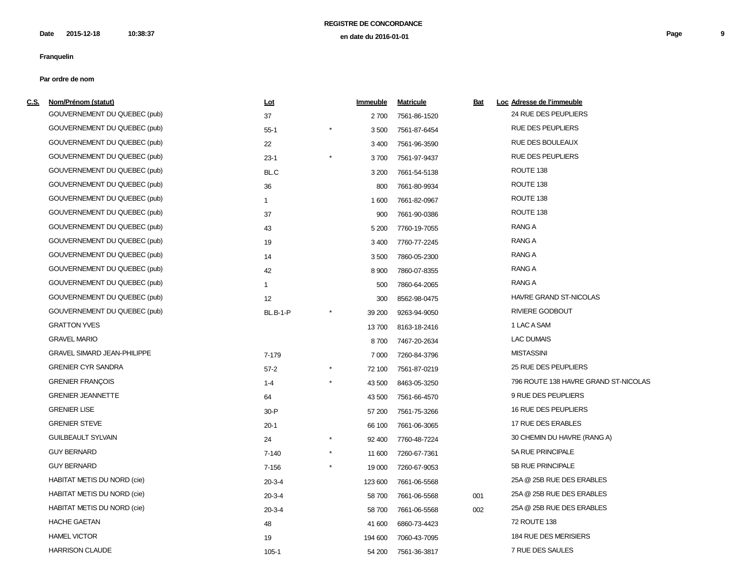| <u>c.s.</u> | Nom/Prénom (statut)                | <u>Lot</u>      |            | Immeuble | <b>Matricule</b> | <u>Bat</u> | Loc Adresse de l'immeuble            |
|-------------|------------------------------------|-----------------|------------|----------|------------------|------------|--------------------------------------|
|             | GOUVERNEMENT DU QUEBEC (pub)       | 37              |            | 2 700    | 7561-86-1520     |            | 24 RUE DES PEUPLIERS                 |
|             | GOUVERNEMENT DU QUEBEC (pub)       | $55-1$          |            | 3500     | 7561-87-6454     |            | <b>RUE DES PEUPLIERS</b>             |
|             | GOUVERNEMENT DU QUEBEC (pub)       | 22              |            | 3 4 0 0  | 7561-96-3590     |            | <b>RUE DES BOULEAUX</b>              |
|             | GOUVERNEMENT DU QUEBEC (pub)       | $23-1$          | $^{\star}$ | 3700     | 7561-97-9437     |            | <b>RUE DES PEUPLIERS</b>             |
|             | GOUVERNEMENT DU QUEBEC (pub)       | BL.C            |            | 3 200    | 7661-54-5138     |            | ROUTE 138                            |
|             | GOUVERNEMENT DU QUEBEC (pub)       | 36              |            | 800      | 7661-80-9934     |            | ROUTE 138                            |
|             | GOUVERNEMENT DU QUEBEC (pub)       | $\mathbf{1}$    |            | 1600     | 7661-82-0967     |            | ROUTE 138                            |
|             | GOUVERNEMENT DU QUEBEC (pub)       | 37              |            | 900      | 7661-90-0386     |            | ROUTE 138                            |
|             | GOUVERNEMENT DU QUEBEC (pub)       | 43              |            | 5 200    | 7760-19-7055     |            | <b>RANG A</b>                        |
|             | GOUVERNEMENT DU QUEBEC (pub)       | 19              |            | 3 4 0 0  | 7760-77-2245     |            | <b>RANG A</b>                        |
|             | GOUVERNEMENT DU QUEBEC (pub)       | 14              |            | 3500     | 7860-05-2300     |            | <b>RANG A</b>                        |
|             | GOUVERNEMENT DU QUEBEC (pub)       | 42              |            | 8 9 0 0  | 7860-07-8355     |            | <b>RANG A</b>                        |
|             | GOUVERNEMENT DU QUEBEC (pub)       | $\mathbf{1}$    |            | 500      | 7860-64-2065     |            | RANG A                               |
|             | GOUVERNEMENT DU QUEBEC (pub)       | 12              |            | 300      | 8562-98-0475     |            | <b>HAVRE GRAND ST-NICOLAS</b>        |
|             | GOUVERNEMENT DU QUEBEC (pub)       | <b>BL.B-1-P</b> |            | 39 200   | 9263-94-9050     |            | <b>RIVIERE GODBOUT</b>               |
|             | <b>GRATTON YVES</b>                |                 |            | 13700    | 8163-18-2416     |            | 1 LAC A SAM                          |
|             | <b>GRAVEL MARIO</b>                |                 |            | 8700     | 7467-20-2634     |            | <b>LAC DUMAIS</b>                    |
|             | <b>GRAVEL SIMARD JEAN-PHILIPPE</b> | 7-179           |            | 7 0 0 0  | 7260-84-3796     |            | <b>MISTASSINI</b>                    |
|             | <b>GRENIER CYR SANDRA</b>          | $57-2$          |            | 72 100   | 7561-87-0219     |            | 25 RUE DES PEUPLIERS                 |
|             | <b>GRENIER FRANÇOIS</b>            | $1 - 4$         |            | 43 500   | 8463-05-3250     |            | 796 ROUTE 138 HAVRE GRAND ST-NICOLAS |
|             | <b>GRENIER JEANNETTE</b>           | 64              |            | 43 500   | 7561-66-4570     |            | 9 RUE DES PEUPLIERS                  |
|             | <b>GRENIER LISE</b>                | $30 - P$        |            | 57 200   | 7561-75-3266     |            | 16 RUE DES PEUPLIERS                 |
|             | <b>GRENIER STEVE</b>               | $20-1$          |            | 66 100   | 7661-06-3065     |            | 17 RUE DES ERABLES                   |
|             | <b>GUILBEAULT SYLVAIN</b>          | 24              |            | 92 400   | 7760-48-7224     |            | 30 CHEMIN DU HAVRE (RANG A)          |
|             | <b>GUY BERNARD</b>                 | $7 - 140$       | $^\star$   | 11 600   | 7260-67-7361     |            | 5A RUE PRINCIPALE                    |
|             | <b>GUY BERNARD</b>                 | $7 - 156$       |            | 19 000   | 7260-67-9053     |            | 5B RUE PRINCIPALE                    |
|             | <b>HABITAT METIS DU NORD (cie)</b> | $20-3-4$        |            | 123 600  | 7661-06-5568     |            | 25A @ 25B RUE DES ERABLES            |
|             | <b>HABITAT METIS DU NORD (cie)</b> | $20-3-4$        |            | 58700    | 7661-06-5568     | 001        | 25A @ 25B RUE DES ERABLES            |
|             | <b>HABITAT METIS DU NORD (cie)</b> | $20 - 3 - 4$    |            | 58700    | 7661-06-5568     | 002        | 25A @ 25B RUE DES ERABLES            |
|             | <b>HACHE GAETAN</b>                | 48              |            | 41 600   | 6860-73-4423     |            | 72 ROUTE 138                         |
|             | <b>HAMEL VICTOR</b>                | 19              |            | 194 600  | 7060-43-7095     |            | 184 RUE DES MERISIERS                |
|             | <b>HARRISON CLAUDE</b>             | $105 - 1$       |            | 54 200   | 7561-36-3817     |            | 7 RUE DES SAULES                     |
|             |                                    |                 |            |          |                  |            |                                      |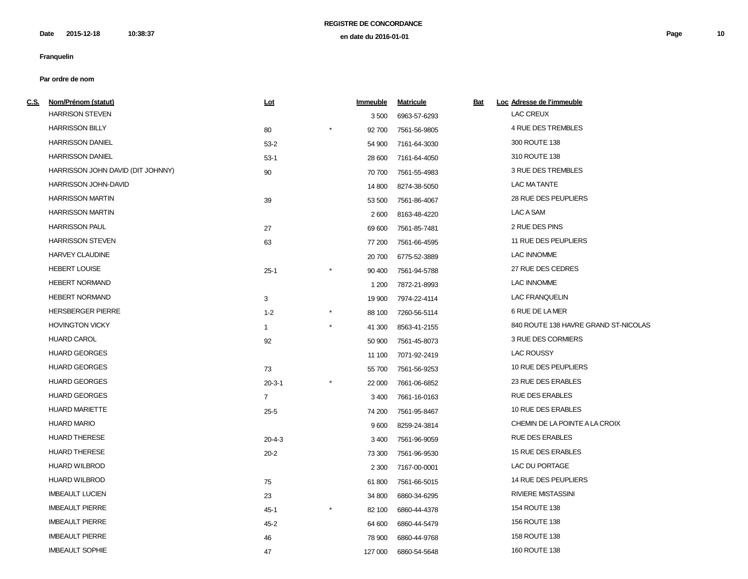| <u>C.S.</u> | Nom/Prénom (statut)               | <u>Lot</u>     | Immeuble | <b>Matricule</b> | <u>Bat</u> | Loc Adresse de l'immeuble            |
|-------------|-----------------------------------|----------------|----------|------------------|------------|--------------------------------------|
|             | <b>HARRISON STEVEN</b>            |                | 3 500    | 6963-57-6293     |            | <b>LAC CREUX</b>                     |
|             | <b>HARRISSON BILLY</b>            | 80             | 92 700   | 7561-56-9805     |            | 4 RUE DES TREMBLES                   |
|             | <b>HARRISSON DANIEL</b>           | $53-2$         | 54 900   | 7161-64-3030     |            | 300 ROUTE 138                        |
|             | <b>HARRISSON DANIEL</b>           | $53-1$         | 28 600   | 7161-64-4050     |            | 310 ROUTE 138                        |
|             | HARRISSON JOHN DAVID (DIT JOHNNY) | 90             | 70 700   | 7561-55-4983     |            | 3 RUE DES TREMBLES                   |
|             | HARRISSON JOHN-DAVID              |                | 14 800   | 8274-38-5050     |            | LAC MATANTE                          |
|             | <b>HARRISSON MARTIN</b>           | 39             | 53 500   | 7561-86-4067     |            | 28 RUE DES PEUPLIERS                 |
|             | <b>HARRISSON MARTIN</b>           |                | 2600     | 8163-48-4220     |            | LAC A SAM                            |
|             | <b>HARRISSON PAUL</b>             | 27             | 69 600   | 7561-85-7481     |            | 2 RUE DES PINS                       |
|             | <b>HARRISSON STEVEN</b>           | 63             | 77 200   | 7561-66-4595     |            | 11 RUE DES PEUPLIERS                 |
|             | <b>HARVEY CLAUDINE</b>            |                | 20 700   | 6775-52-3889     |            | <b>LAC INNOMME</b>                   |
|             | <b>HEBERT LOUISE</b>              | $25-1$         | 90 400   | 7561-94-5788     |            | 27 RUE DES CEDRES                    |
|             | <b>HEBERT NORMAND</b>             |                | 1 200    | 7872-21-8993     |            | <b>LAC INNOMME</b>                   |
|             | <b>HEBERT NORMAND</b>             | 3              | 19 900   | 7974-22-4114     |            | <b>LAC FRANQUELIN</b>                |
|             | <b>HERSBERGER PIERRE</b>          | $1 - 2$        | 88 100   | 7260-56-5114     |            | 6 RUE DE LA MER                      |
|             | <b>HOVINGTON VICKY</b>            | $\mathbf{1}$   | 41 300   | 8563-41-2155     |            | 840 ROUTE 138 HAVRE GRAND ST-NICOLAS |
|             | <b>HUARD CAROL</b>                | 92             | 50 900   | 7561-45-8073     |            | 3 RUE DES CORMIERS                   |
|             | <b>HUARD GEORGES</b>              |                | 11 100   | 7071-92-2419     |            | <b>LAC ROUSSY</b>                    |
|             | <b>HUARD GEORGES</b>              | 73             | 55 700   | 7561-56-9253     |            | 10 RUE DES PEUPLIERS                 |
|             | <b>HUARD GEORGES</b>              | $20 - 3 - 1$   | 22 000   | 7661-06-6852     |            | 23 RUE DES ERABLES                   |
|             | <b>HUARD GEORGES</b>              | $\overline{7}$ | 3 4 0 0  | 7661-16-0163     |            | <b>RUE DES ERABLES</b>               |
|             | <b>HUARD MARIETTE</b>             | $25 - 5$       | 74 200   | 7561-95-8467     |            | 10 RUE DES ERABLES                   |
|             | <b>HUARD MARIO</b>                |                | 9600     | 8259-24-3814     |            | CHEMIN DE LA POINTE A LA CROIX       |
|             | <b>HUARD THERESE</b>              | $20 - 4 - 3$   | 3 4 0 0  | 7561-96-9059     |            | <b>RUE DES ERABLES</b>               |
|             | <b>HUARD THERESE</b>              | $20 - 2$       | 73 300   | 7561-96-9530     |            | 15 RUE DES ERABLES                   |
|             | <b>HUARD WILBROD</b>              |                | 2 3 0 0  | 7167-00-0001     |            | LAC DU PORTAGE                       |
|             | <b>HUARD WILBROD</b>              | 75             | 61800    | 7561-66-5015     |            | 14 RUE DES PEUPLIERS                 |
|             | <b>IMBEAULT LUCIEN</b>            | 23             | 34 800   | 6860-34-6295     |            | <b>RIVIERE MISTASSINI</b>            |
|             | <b>IMBEAULT PIERRE</b>            | $45 - 1$       | 82 100   | 6860-44-4378     |            | 154 ROUTE 138                        |
|             | <b>IMBEAULT PIERRE</b>            | $45 - 2$       | 64 600   | 6860-44-5479     |            | 156 ROUTE 138                        |
|             | <b>IMBEAULT PIERRE</b>            | 46             | 78 900   | 6860-44-9768     |            | 158 ROUTE 138                        |
|             | <b>IMBEAULT SOPHIE</b>            | 47             | 127 000  | 6860-54-5648     |            | 160 ROUTE 138                        |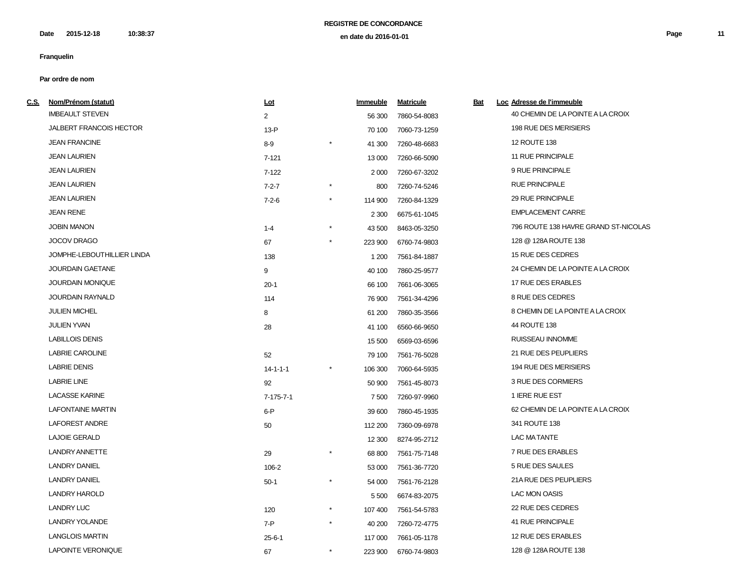| C.S. Nom/Prénom (statut)       | Lot               |          | Immeuble | <b>Matricule</b> | Bat | Loc Adresse de l'immeuble            |
|--------------------------------|-------------------|----------|----------|------------------|-----|--------------------------------------|
| <b>IMBEAULT STEVEN</b>         | $\overline{2}$    |          | 56 300   | 7860-54-8083     |     | 40 CHEMIN DE LA POINTE A LA CROIX    |
| <b>JALBERT FRANCOIS HECTOR</b> | $13-P$            |          | 70 100   | 7060-73-1259     |     | 198 RUE DES MERISIERS                |
| <b>JEAN FRANCINE</b>           | $8-9$             |          | 41 300   | 7260-48-6683     |     | 12 ROUTE 138                         |
| <b>JEAN LAURIEN</b>            | $7 - 121$         |          | 13 000   | 7260-66-5090     |     | 11 RUE PRINCIPALE                    |
| <b>JEAN LAURIEN</b>            | $7 - 122$         |          | 2 0 0 0  | 7260-67-3202     |     | 9 RUE PRINCIPALE                     |
| <b>JEAN LAURIEN</b>            | $7 - 2 - 7$       |          | 800      | 7260-74-5246     |     | <b>RUE PRINCIPALE</b>                |
| <b>JEAN LAURIEN</b>            | $7 - 2 - 6$       | $^\star$ | 114 900  | 7260-84-1329     |     | 29 RUE PRINCIPALE                    |
| <b>JEAN RENE</b>               |                   |          | 2 3 0 0  | 6675-61-1045     |     | <b>EMPLACEMENT CARRE</b>             |
| <b>JOBIN MANON</b>             | $1 - 4$           |          | 43 500   | 8463-05-3250     |     | 796 ROUTE 138 HAVRE GRAND ST-NICOLAS |
| <b>JOCOV DRAGO</b>             | 67                | $^\star$ | 223 900  | 6760-74-9803     |     | 128 @ 128A ROUTE 138                 |
| JOMPHE-LEBOUTHILLIER LINDA     | 138               |          | 1 200    | 7561-84-1887     |     | 15 RUE DES CEDRES                    |
| <b>JOURDAIN GAETANE</b>        | 9                 |          | 40 100   | 7860-25-9577     |     | 24 CHEMIN DE LA POINTE A LA CROIX    |
| <b>JOURDAIN MONIQUE</b>        | $20-1$            |          | 66 100   | 7661-06-3065     |     | 17 RUE DES ERABLES                   |
| <b>JOURDAIN RAYNALD</b>        | 114               |          | 76 900   | 7561-34-4296     |     | 8 RUE DES CEDRES                     |
| <b>JULIEN MICHEL</b>           | 8                 |          | 61 200   | 7860-35-3566     |     | 8 CHEMIN DE LA POINTE A LA CROIX     |
| <b>JULIEN YVAN</b>             | 28                |          | 41 100   | 6560-66-9650     |     | 44 ROUTE 138                         |
| <b>LABILLOIS DENIS</b>         |                   |          | 15 500   | 6569-03-6596     |     | RUISSEAU INNOMME                     |
| <b>LABRIE CAROLINE</b>         | 52                |          | 79 100   | 7561-76-5028     |     | 21 RUE DES PEUPLIERS                 |
| <b>LABRIE DENIS</b>            | $14 - 1 - 1 - 1$  |          | 106 300  | 7060-64-5935     |     | 194 RUE DES MERISIERS                |
| <b>LABRIE LINE</b>             | 92                |          | 50 900   | 7561-45-8073     |     | 3 RUE DES CORMIERS                   |
| <b>LACASSE KARINE</b>          | $7 - 175 - 7 - 1$ |          | 7 500    | 7260-97-9960     |     | 1 IERE RUE EST                       |
| <b>LAFONTAINE MARTIN</b>       | $6-P$             |          | 39 600   | 7860-45-1935     |     | 62 CHEMIN DE LA POINTE A LA CROIX    |
| <b>LAFOREST ANDRE</b>          | 50                |          | 112 200  | 7360-09-6978     |     | 341 ROUTE 138                        |
| <b>LAJOIE GERALD</b>           |                   |          | 12 300   | 8274-95-2712     |     | LAC MATANTE                          |
| <b>LANDRY ANNETTE</b>          | 29                |          | 68 800   | 7561-75-7148     |     | 7 RUE DES ERABLES                    |
| <b>LANDRY DANIEL</b>           | 106-2             |          | 53 000   | 7561-36-7720     |     | 5 RUE DES SAULES                     |
| <b>LANDRY DANIEL</b>           | $50-1$            | $^\star$ | 54 000   | 7561-76-2128     |     | 21A RUE DES PEUPLIERS                |
| <b>LANDRY HAROLD</b>           |                   |          | 5 500    | 6674-83-2075     |     | <b>LAC MON OASIS</b>                 |
| <b>LANDRY LUC</b>              | 120               | $\star$  | 107 400  | 7561-54-5783     |     | 22 RUE DES CEDRES                    |
| <b>LANDRY YOLANDE</b>          | 7-P               | $\star$  | 40 200   | 7260-72-4775     |     | 41 RUE PRINCIPALE                    |
| <b>LANGLOIS MARTIN</b>         | $25 - 6 - 1$      |          | 117 000  | 7661-05-1178     |     | 12 RUE DES ERABLES                   |
| LAPOINTE VERONIQUE             | 67                | $\star$  | 223 900  | 6760-74-9803     |     | 128 @ 128A ROUTE 138                 |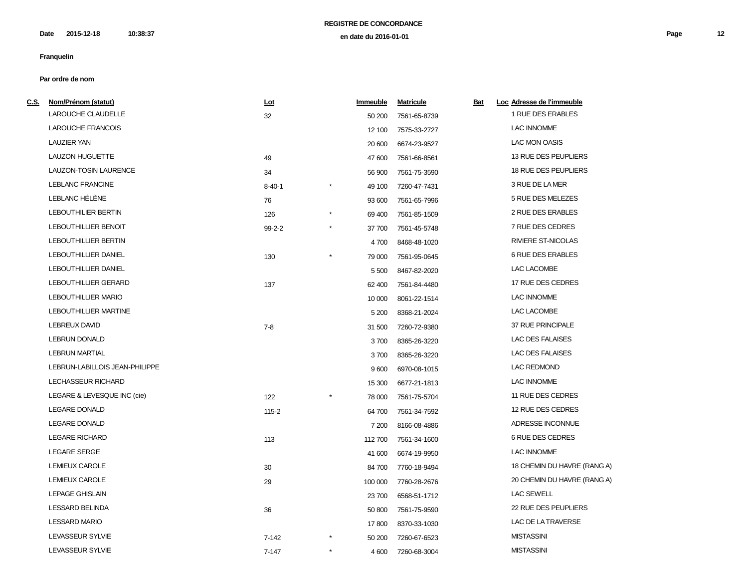**2015-12-18 10:38:37 Page 12 en date du 2016-01-01 Date**

# **Franquelin**

| <u>c.s.</u> | Nom/Prénom (statut)            | <u>Lot</u>   |            | <b>Immeuble</b> | <b>Matricule</b> | <u>Bat</u> | Loc Adresse de l'immeuble   |
|-------------|--------------------------------|--------------|------------|-----------------|------------------|------------|-----------------------------|
|             | <b>LAROUCHE CLAUDELLE</b>      | 32           |            | 50 200          | 7561-65-8739     |            | 1 RUE DES ERABLES           |
|             | <b>LAROUCHE FRANCOIS</b>       |              |            | 12 100          | 7575-33-2727     |            | <b>LAC INNOMME</b>          |
|             | <b>LAUZIER YAN</b>             |              |            | 20 600          | 6674-23-9527     |            | LAC MON OASIS               |
|             | <b>LAUZON HUGUETTE</b>         | 49           |            | 47 600          | 7561-66-8561     |            | 13 RUE DES PEUPLIERS        |
|             | LAUZON-TOSIN LAURENCE          | 34           |            | 56 900          | 7561-75-3590     |            | 18 RUE DES PEUPLIERS        |
|             | <b>LEBLANC FRANCINE</b>        | $8 - 40 - 1$ |            | 49 100          | 7260-47-7431     |            | 3 RUE DE LA MER             |
|             | LEBLANC HÉLÈNE                 | 76           |            | 93 600          | 7561-65-7996     |            | 5 RUE DES MELEZES           |
|             | <b>LEBOUTHILIER BERTIN</b>     | 126          | $\star$    | 69 400          | 7561-85-1509     |            | 2 RUE DES ERABLES           |
|             | LEBOUTHILLIER BENOIT           | $99 - 2 - 2$ | $^{\star}$ | 37 700          | 7561-45-5748     |            | 7 RUE DES CEDRES            |
|             | <b>LEBOUTHILLIER BERTIN</b>    |              |            | 4700            | 8468-48-1020     |            | <b>RIVIERE ST-NICOLAS</b>   |
|             | <b>LEBOUTHILLIER DANIEL</b>    | 130          | $^{\star}$ | 79 000          | 7561-95-0645     |            | 6 RUE DES ERABLES           |
|             | LEBOUTHILLIER DANIEL           |              |            | 5 5 0 0         | 8467-82-2020     |            | LAC LACOMBE                 |
|             | <b>LEBOUTHILLIER GERARD</b>    | 137          |            | 62 400          | 7561-84-4480     |            | 17 RUE DES CEDRES           |
|             | <b>LEBOUTHILLIER MARIO</b>     |              |            | 10 000          | 8061-22-1514     |            | <b>LAC INNOMME</b>          |
|             | <b>LEBOUTHILLIER MARTINE</b>   |              |            | 5 200           | 8368-21-2024     |            | LAC LACOMBE                 |
|             | <b>LEBREUX DAVID</b>           | $7 - 8$      |            | 31 500          | 7260-72-9380     |            | 37 RUE PRINCIPALE           |
|             | <b>LEBRUN DONALD</b>           |              |            | 3700            | 8365-26-3220     |            | <b>LAC DES FALAISES</b>     |
|             | <b>LEBRUN MARTIAL</b>          |              |            | 3700            | 8365-26-3220     |            | <b>LAC DES FALAISES</b>     |
|             | LEBRUN-LABILLOIS JEAN-PHILIPPE |              |            | 9600            | 6970-08-1015     |            | <b>LAC REDMOND</b>          |
|             | LECHASSEUR RICHARD             |              |            | 15 300          | 6677-21-1813     |            | <b>LAC INNOMME</b>          |
|             | LEGARE & LEVESQUE INC (cie)    | 122          |            | 78 000          | 7561-75-5704     |            | 11 RUE DES CEDRES           |
|             | <b>LEGARE DONALD</b>           | $115 - 2$    |            | 64 700          | 7561-34-7592     |            | 12 RUE DES CEDRES           |
|             | <b>LEGARE DONALD</b>           |              |            | 7 200           | 8166-08-4886     |            | ADRESSE INCONNUE            |
|             | <b>LEGARE RICHARD</b>          | 113          |            | 112700          | 7561-34-1600     |            | 6 RUE DES CEDRES            |
|             | LEGARE SERGE                   |              |            | 41 600          | 6674-19-9950     |            | <b>LAC INNOMME</b>          |
|             | <b>LEMIEUX CAROLE</b>          | 30           |            | 84 700          | 7760-18-9494     |            | 18 CHEMIN DU HAVRE (RANG A) |
|             | <b>LEMIEUX CAROLE</b>          | 29           |            | 100 000         | 7760-28-2676     |            | 20 CHEMIN DU HAVRE (RANG A) |
|             | <b>LEPAGE GHISLAIN</b>         |              |            | 23700           | 6568-51-1712     |            | <b>LAC SEWELL</b>           |
|             | <b>LESSARD BELINDA</b>         | 36           |            | 50 800          | 7561-75-9590     |            | 22 RUE DES PEUPLIERS        |
|             | <b>LESSARD MARIO</b>           |              |            | 17800           | 8370-33-1030     |            | LAC DE LA TRAVERSE          |
|             | LEVASSEUR SYLVIE               | $7 - 142$    |            | 50 200          | 7260-67-6523     |            | <b>MISTASSINI</b>           |
|             | LEVASSEUR SYLVIE               | $7 - 147$    | $\star$    | 4 600           | 7260-68-3004     |            | <b>MISTASSINI</b>           |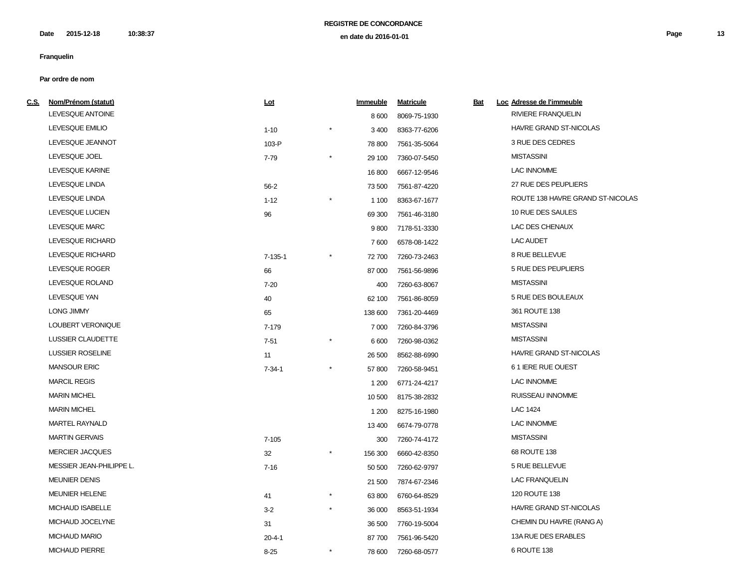| LEVESQUE ANTOINE         |               |          |         |              |                                                                                                                                                                                                                                                                                                                                                                                                                                                              |                                  |
|--------------------------|---------------|----------|---------|--------------|--------------------------------------------------------------------------------------------------------------------------------------------------------------------------------------------------------------------------------------------------------------------------------------------------------------------------------------------------------------------------------------------------------------------------------------------------------------|----------------------------------|
|                          |               |          | 8600    | 8069-75-1930 |                                                                                                                                                                                                                                                                                                                                                                                                                                                              | RIVIERE FRANQUELIN               |
| LEVESQUE EMILIO          | $1 - 10$      | $\star$  | 3 4 0 0 | 8363-77-6206 |                                                                                                                                                                                                                                                                                                                                                                                                                                                              | <b>HAVRE GRAND ST-NICOLAS</b>    |
| LEVESQUE JEANNOT         | 103-P         |          | 78 800  |              |                                                                                                                                                                                                                                                                                                                                                                                                                                                              | 3 RUE DES CEDRES                 |
| LEVESQUE JOEL            | 7-79          | $^\star$ | 29 100  |              |                                                                                                                                                                                                                                                                                                                                                                                                                                                              | <b>MISTASSINI</b>                |
| LEVESQUE KARINE          |               |          | 16 800  |              |                                                                                                                                                                                                                                                                                                                                                                                                                                                              | <b>LAC INNOMME</b>               |
| LEVESQUE LINDA           | $56 - 2$      |          | 73 500  |              |                                                                                                                                                                                                                                                                                                                                                                                                                                                              | 27 RUE DES PEUPLIERS             |
| LEVESQUE LINDA           | $1 - 12$      |          | 1 100   |              |                                                                                                                                                                                                                                                                                                                                                                                                                                                              | ROUTE 138 HAVRE GRAND ST-NICOLAS |
| LEVESQUE LUCIEN          | 96            |          | 69 300  |              |                                                                                                                                                                                                                                                                                                                                                                                                                                                              | 10 RUE DES SAULES                |
| LEVESQUE MARC            |               |          | 9800    |              |                                                                                                                                                                                                                                                                                                                                                                                                                                                              | LAC DES CHENAUX                  |
| LEVESQUE RICHARD         |               |          | 7600    |              |                                                                                                                                                                                                                                                                                                                                                                                                                                                              | LAC AUDET                        |
| LEVESQUE RICHARD         | $7 - 135 - 1$ |          | 72 700  |              |                                                                                                                                                                                                                                                                                                                                                                                                                                                              | 8 RUE BELLEVUE                   |
| LEVESQUE ROGER           | 66            |          | 87 000  |              |                                                                                                                                                                                                                                                                                                                                                                                                                                                              | 5 RUE DES PEUPLIERS              |
| LEVESQUE ROLAND          | $7 - 20$      |          | 400     |              |                                                                                                                                                                                                                                                                                                                                                                                                                                                              | <b>MISTASSINI</b>                |
| LEVESQUE YAN             | 40            |          | 62 100  |              |                                                                                                                                                                                                                                                                                                                                                                                                                                                              | 5 RUE DES BOULEAUX               |
| <b>LONG JIMMY</b>        | 65            |          | 138 600 |              |                                                                                                                                                                                                                                                                                                                                                                                                                                                              | 361 ROUTE 138                    |
| LOUBERT VERONIQUE        | 7-179         |          | 7 0 0 0 |              |                                                                                                                                                                                                                                                                                                                                                                                                                                                              | <b>MISTASSINI</b>                |
| LUSSIER CLAUDETTE        | $7 - 51$      | $^\star$ | 6 600   |              |                                                                                                                                                                                                                                                                                                                                                                                                                                                              | <b>MISTASSINI</b>                |
| LUSSIER ROSELINE         | 11            |          | 26 500  |              |                                                                                                                                                                                                                                                                                                                                                                                                                                                              | HAVRE GRAND ST-NICOLAS           |
| <b>MANSOUR ERIC</b>      | $7 - 34 - 1$  |          | 57800   |              |                                                                                                                                                                                                                                                                                                                                                                                                                                                              | 61 IERE RUE OUEST                |
| <b>MARCIL REGIS</b>      |               |          | 1 200   |              |                                                                                                                                                                                                                                                                                                                                                                                                                                                              | <b>LAC INNOMME</b>               |
| <b>MARIN MICHEL</b>      |               |          | 10 500  |              |                                                                                                                                                                                                                                                                                                                                                                                                                                                              | RUISSEAU INNOMME                 |
| <b>MARIN MICHEL</b>      |               |          | 1 200   | 8275-16-1980 |                                                                                                                                                                                                                                                                                                                                                                                                                                                              | LAC 1424                         |
| MARTEL RAYNALD           |               |          | 13 400  |              |                                                                                                                                                                                                                                                                                                                                                                                                                                                              | <b>LAC INNOMME</b>               |
| <b>MARTIN GERVAIS</b>    | $7 - 105$     |          | 300     |              |                                                                                                                                                                                                                                                                                                                                                                                                                                                              | <b>MISTASSINI</b>                |
| <b>MERCIER JACQUES</b>   | 32            | $\star$  | 156 300 | 6660-42-8350 |                                                                                                                                                                                                                                                                                                                                                                                                                                                              | 68 ROUTE 138                     |
| MESSIER JEAN-PHILIPPE L. | $7 - 16$      |          | 50 500  |              |                                                                                                                                                                                                                                                                                                                                                                                                                                                              | 5 RUE BELLEVUE                   |
| <b>MEUNIER DENIS</b>     |               |          | 21 500  |              |                                                                                                                                                                                                                                                                                                                                                                                                                                                              | <b>LAC FRANQUELIN</b>            |
| <b>MEUNIER HELENE</b>    | 41            | $\star$  | 63 800  |              |                                                                                                                                                                                                                                                                                                                                                                                                                                                              | 120 ROUTE 138                    |
| <b>MICHAUD ISABELLE</b>  | $3 - 2$       | $\star$  | 36 000  |              |                                                                                                                                                                                                                                                                                                                                                                                                                                                              | <b>HAVRE GRAND ST-NICOLAS</b>    |
| MICHAUD JOCELYNE         | 31            |          | 36 500  |              |                                                                                                                                                                                                                                                                                                                                                                                                                                                              | CHEMIN DU HAVRE (RANG A)         |
| <b>MICHAUD MARIO</b>     | $20 - 4 - 1$  |          | 87700   |              |                                                                                                                                                                                                                                                                                                                                                                                                                                                              | 13A RUE DES ERABLES              |
| <b>MICHAUD PIERRE</b>    | $8 - 25$      | $^\star$ | 78 600  |              |                                                                                                                                                                                                                                                                                                                                                                                                                                                              | 6 ROUTE 138                      |
|                          |               |          |         |              | 7561-35-5064<br>7360-07-5450<br>6667-12-9546<br>7561-87-4220<br>8363-67-1677<br>7561-46-3180<br>7178-51-3330<br>6578-08-1422<br>7260-73-2463<br>7561-56-9896<br>7260-63-8067<br>7561-86-8059<br>7361-20-4469<br>7260-84-3796<br>7260-98-0362<br>8562-88-6990<br>7260-58-9451<br>6771-24-4217<br>8175-38-2832<br>6674-79-0778<br>7260-74-4172<br>7260-62-9797<br>7874-67-2346<br>6760-64-8529<br>8563-51-1934<br>7760-19-5004<br>7561-96-5420<br>7260-68-0577 |                                  |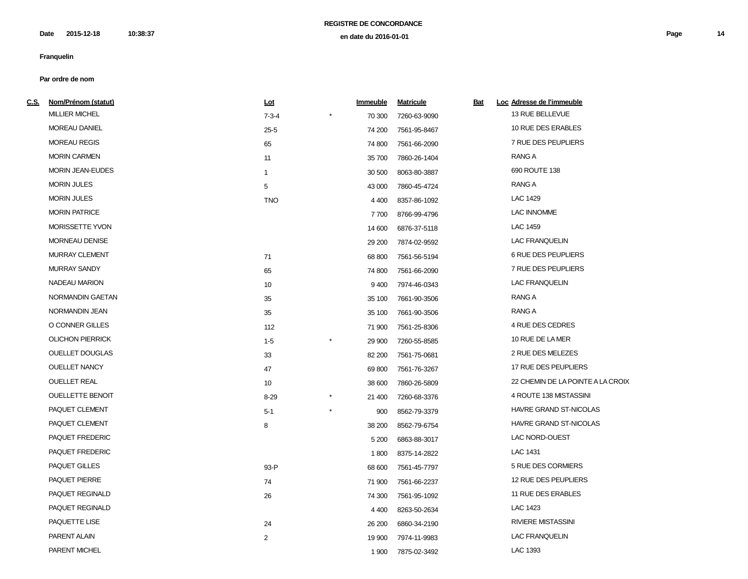**2015-12-18 10:38:37 Page 14 en date du 2016-01-01 Date**

# **Franquelin**

| <u>C.S.</u> | Nom/Prénom (statut)     | <u>Lot</u>   | Immeuble             | <b>Matricule</b> | <u>Bat</u> | Loc Adresse de l'immeuble         |
|-------------|-------------------------|--------------|----------------------|------------------|------------|-----------------------------------|
|             | <b>MILLIER MICHEL</b>   | $7 - 3 - 4$  | 70 300               | 7260-63-9090     |            | 13 RUE BELLEVUE                   |
|             | <b>MOREAU DANIEL</b>    | $25 - 5$     | 74 200               | 7561-95-8467     |            | 10 RUE DES ERABLES                |
|             | <b>MOREAU REGIS</b>     | 65           | 74 800               | 7561-66-2090     |            | 7 RUE DES PEUPLIERS               |
|             | <b>MORIN CARMEN</b>     | 11           | 35 700               | 7860-26-1404     |            | RANG A                            |
|             | <b>MORIN JEAN-EUDES</b> | $\mathbf{1}$ | 30 500               | 8063-80-3887     |            | 690 ROUTE 138                     |
|             | <b>MORIN JULES</b>      | 5            | 43 000               | 7860-45-4724     |            | RANG A                            |
|             | <b>MORIN JULES</b>      | <b>TNO</b>   | 4 4 0 0              | 8357-86-1092     |            | LAC 1429                          |
|             | <b>MORIN PATRICE</b>    |              | 7700                 | 8766-99-4796     |            | <b>LAC INNOMME</b>                |
|             | <b>MORISSETTE YVON</b>  |              | 14 600               | 6876-37-5118     |            | <b>LAC 1459</b>                   |
|             | <b>MORNEAU DENISE</b>   |              | 29 200               | 7874-02-9592     |            | <b>LAC FRANQUELIN</b>             |
|             | <b>MURRAY CLEMENT</b>   | 71           | 68 800               | 7561-56-5194     |            | <b>6 RUE DES PEUPLIERS</b>        |
|             | <b>MURRAY SANDY</b>     | 65           | 74 800               | 7561-66-2090     |            | 7 RUE DES PEUPLIERS               |
|             | NADEAU MARION           | 10           | 9400                 | 7974-46-0343     |            | <b>LAC FRANQUELIN</b>             |
|             | NORMANDIN GAETAN        | 35           | 35 100               | 7661-90-3506     |            | <b>RANG A</b>                     |
|             | NORMANDIN JEAN          | 35           | 35 100               | 7661-90-3506     |            | RANG A                            |
|             | O CONNER GILLES         | 112          | 71 900               | 7561-25-8306     |            | 4 RUE DES CEDRES                  |
|             | <b>OLICHON PIERRICK</b> | $1 - 5$      | $\star$<br>29 900    | 7260-55-8585     |            | 10 RUE DE LA MER                  |
|             | <b>OUELLET DOUGLAS</b>  | 33           | 82 200               | 7561-75-0681     |            | 2 RUE DES MELEZES                 |
|             | <b>OUELLET NANCY</b>    | 47           | 69 800               | 7561-76-3267     |            | 17 RUE DES PEUPLIERS              |
|             | <b>OUELLET REAL</b>     | 10           | 38 600               | 7860-26-5809     |            | 22 CHEMIN DE LA POINTE A LA CROIX |
|             | <b>OUELLETTE BENOIT</b> | $8 - 29$     | $^{\star}$<br>21 400 | 7260-68-3376     |            | 4 ROUTE 138 MISTASSINI            |
|             | PAQUET CLEMENT          | $5 - 1$      | $\star$<br>900       | 8562-79-3379     |            | HAVRE GRAND ST-NICOLAS            |
|             | PAQUET CLEMENT          | 8            | 38 200               | 8562-79-6754     |            | HAVRE GRAND ST-NICOLAS            |
|             | PAQUET FREDERIC         |              | 5 200                | 6863-88-3017     |            | LAC NORD-OUEST                    |
|             | PAQUET FREDERIC         |              | 1800                 | 8375-14-2822     |            | LAC 1431                          |
|             | <b>PAQUET GILLES</b>    | 93-P         | 68 600               | 7561-45-7797     |            | 5 RUE DES CORMIERS                |
|             | PAQUET PIERRE           | 74           | 71 900               | 7561-66-2237     |            | 12 RUE DES PEUPLIERS              |
|             | PAQUET REGINALD         | 26           | 74 300               | 7561-95-1092     |            | 11 RUE DES ERABLES                |
|             | PAQUET REGINALD         |              | 4 4 0 0              | 8263-50-2634     |            | LAC 1423                          |
|             | PAQUETTE LISE           | 24           | 26 200               | 6860-34-2190     |            | <b>RIVIERE MISTASSINI</b>         |
|             | PARENT ALAIN            | 2            | 19 900               | 7974-11-9983     |            | <b>LAC FRANQUELIN</b>             |
|             | PARENT MICHEL           |              | 1 900                | 7875-02-3492     |            | LAC 1393                          |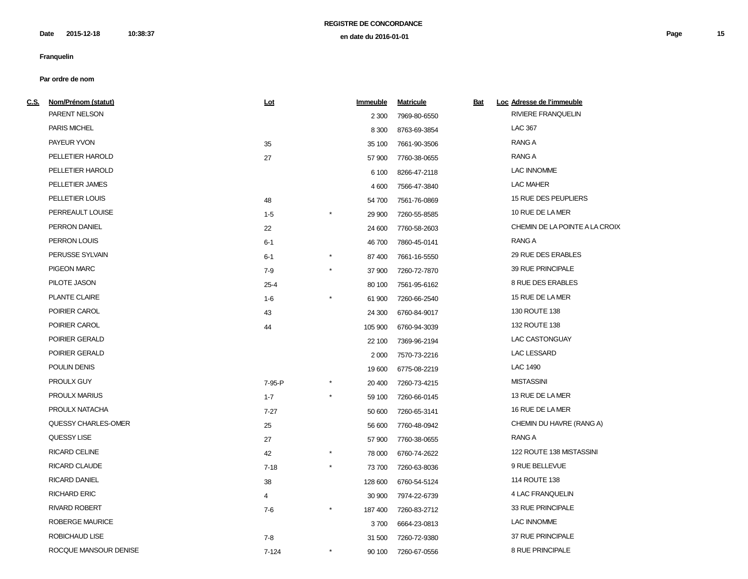**2015-12-18 10:38:37 Page 15 en date du 2016-01-01 Date**

# **Franquelin**

| <u>C.S.</u> | Nom/Prénom (statut)    | <u>Lot</u> |            | <b>Immeuble</b> | <b>Matricule</b> | <u>Bat</u> | Loc Adresse de l'immeuble      |
|-------------|------------------------|------------|------------|-----------------|------------------|------------|--------------------------------|
|             | PARENT NELSON          |            |            | 2 3 0 0         | 7969-80-6550     |            | <b>RIVIERE FRANQUELIN</b>      |
|             | PARIS MICHEL           |            |            | 8 3 0 0         | 8763-69-3854     |            | <b>LAC 367</b>                 |
|             | PAYEUR YVON            | 35         |            | 35 100          | 7661-90-3506     |            | <b>RANG A</b>                  |
|             | PELLETIER HAROLD       | 27         |            | 57 900          | 7760-38-0655     |            | <b>RANG A</b>                  |
|             | PELLETIER HAROLD       |            |            | 6 100           | 8266-47-2118     |            | <b>LAC INNOMME</b>             |
|             | PELLETIER JAMES        |            |            | 4 600           | 7566-47-3840     |            | <b>LAC MAHER</b>               |
|             | PELLETIER LOUIS        | 48         |            | 54 700          | 7561-76-0869     |            | 15 RUE DES PEUPLIERS           |
|             | PERREAULT LOUISE       | $1 - 5$    |            | 29 900          | 7260-55-8585     |            | 10 RUE DE LA MER               |
|             | PERRON DANIEL          | 22         |            | 24 600          | 7760-58-2603     |            | CHEMIN DE LA POINTE A LA CROIX |
|             | PERRON LOUIS           | $6 - 1$    |            | 46700           | 7860-45-0141     |            | RANG A                         |
|             | PERUSSE SYLVAIN        | $6 - 1$    | $^{\star}$ | 87 400          | 7661-16-5550     |            | 29 RUE DES ERABLES             |
|             | <b>PIGEON MARC</b>     | $7 - 9$    | $^{\star}$ | 37 900          | 7260-72-7870     |            | 39 RUE PRINCIPALE              |
|             | PILOTE JASON           | $25 - 4$   |            | 80 100          | 7561-95-6162     |            | 8 RUE DES ERABLES              |
|             | <b>PLANTE CLAIRE</b>   | $1 - 6$    |            | 61 900          | 7260-66-2540     |            | 15 RUE DE LA MER               |
|             | POIRIER CAROL          | 43         |            | 24 300          | 6760-84-9017     |            | 130 ROUTE 138                  |
|             | POIRIER CAROL          | 44         |            | 105 900         | 6760-94-3039     |            | 132 ROUTE 138                  |
|             | POIRIER GERALD         |            |            | 22 100          | 7369-96-2194     |            | <b>LAC CASTONGUAY</b>          |
|             | POIRIER GERALD         |            |            | 2 0 0 0         | 7570-73-2216     |            | <b>LAC LESSARD</b>             |
|             | POULIN DENIS           |            |            | 19 600          | 6775-08-2219     |            | LAC 1490                       |
|             | PROULX GUY             | 7-95-P     |            | 20 400          | 7260-73-4215     |            | <b>MISTASSINI</b>              |
|             | <b>PROULX MARIUS</b>   | $1 - 7$    | $\star$    | 59 100          | 7260-66-0145     |            | 13 RUE DE LA MER               |
|             | PROULX NATACHA         | $7 - 27$   |            | 50 600          | 7260-65-3141     |            | 16 RUE DE LA MER               |
|             | QUESSY CHARLES-OMER    | 25         |            | 56 600          | 7760-48-0942     |            | CHEMIN DU HAVRE (RANG A)       |
|             | QUESSY LISE            | 27         |            | 57 900          | 7760-38-0655     |            | RANG A                         |
|             | <b>RICARD CELINE</b>   | 42         | $^{\star}$ | 78 000          | 6760-74-2622     |            | 122 ROUTE 138 MISTASSINI       |
|             | RICARD CLAUDE          | $7 - 18$   | $^{\star}$ | 73700           | 7260-63-8036     |            | 9 RUE BELLEVUE                 |
|             | <b>RICARD DANIEL</b>   | 38         |            | 128 600         | 6760-54-5124     |            | 114 ROUTE 138                  |
|             | <b>RICHARD ERIC</b>    | 4          |            | 30 900          | 7974-22-6739     |            | 4 LAC FRANQUELIN               |
|             | <b>RIVARD ROBERT</b>   | 7-6        | $\star$    | 187400          | 7260-83-2712     |            | 33 RUE PRINCIPALE              |
|             | <b>ROBERGE MAURICE</b> |            |            | 3700            | 6664-23-0813     |            | <b>LAC INNOMME</b>             |
|             | ROBICHAUD LISE         | $7 - 8$    |            | 31 500          | 7260-72-9380     |            | 37 RUE PRINCIPALE              |
|             | ROCQUE MANSOUR DENISE  | $7 - 124$  |            | 90 100          | 7260-67-0556     |            | 8 RUE PRINCIPALE               |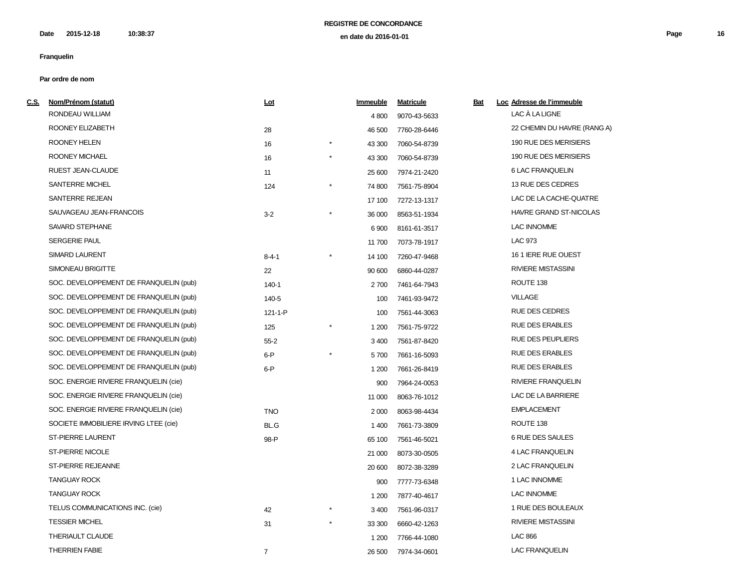| <u>C.S.</u> | Nom/Prénom (statut)                    | Lot            |            | Immeuble | <b>Matricule</b> | <u>Bat</u> | Loc Adresse de l'immeuble     |
|-------------|----------------------------------------|----------------|------------|----------|------------------|------------|-------------------------------|
|             | RONDEAU WILLIAM                        |                |            | 4 800    | 9070-43-5633     |            | LAC À LA LIGNE                |
|             | ROONEY ELIZABETH                       | 28             |            | 46 500   | 7760-28-6446     |            | 22 CHEMIN DU HAVRE (RANG A)   |
|             | ROONEY HELEN                           | 16             | $^\star$   | 43 300   | 7060-54-8739     |            | 190 RUE DES MERISIERS         |
|             | ROONEY MICHAEL                         | 16             | $^\star$   | 43 300   | 7060-54-8739     |            | 190 RUE DES MERISIERS         |
|             | RUEST JEAN-CLAUDE                      | 11             |            | 25 600   | 7974-21-2420     |            | 6 LAC FRANQUELIN              |
|             | SANTERRE MICHEL                        | 124            |            | 74 800   | 7561-75-8904     |            | 13 RUE DES CEDRES             |
|             | <b>SANTERRE REJEAN</b>                 |                |            | 17 100   | 7272-13-1317     |            | LAC DE LA CACHE-QUATRE        |
|             | SAUVAGEAU JEAN-FRANCOIS                | $3 - 2$        | $^{\star}$ | 36 000   | 8563-51-1934     |            | <b>HAVRE GRAND ST-NICOLAS</b> |
|             | SAVARD STEPHANE                        |                |            | 6900     | 8161-61-3517     |            | LAC INNOMME                   |
|             | <b>SERGERIE PAUL</b>                   |                |            | 11 700   | 7073-78-1917     |            | <b>LAC 973</b>                |
|             | <b>SIMARD LAURENT</b>                  | $8 - 4 - 1$    |            | 14 100   | 7260-47-9468     |            | 16 1 IERE RUE OUEST           |
|             | SIMONEAU BRIGITTE                      | 22             |            | 90 600   | 6860-44-0287     |            | <b>RIVIERE MISTASSINI</b>     |
|             | SOC. DEVELOPPEMENT DE FRANQUELIN (pub) | 140-1          |            | 2700     | 7461-64-7943     |            | ROUTE 138                     |
|             | SOC. DEVELOPPEMENT DE FRANQUELIN (pub) | 140-5          |            | 100      | 7461-93-9472     |            | <b>VILLAGE</b>                |
|             | SOC. DEVELOPPEMENT DE FRANQUELIN (pub) | 121-1-P        |            | 100      | 7561-44-3063     |            | <b>RUE DES CEDRES</b>         |
|             | SOC. DEVELOPPEMENT DE FRANQUELIN (pub) | 125            |            | 1 200    | 7561-75-9722     |            | <b>RUE DES ERABLES</b>        |
|             | SOC. DEVELOPPEMENT DE FRANQUELIN (pub) | $55 - 2$       |            | 3 4 0 0  | 7561-87-8420     |            | <b>RUE DES PEUPLIERS</b>      |
|             | SOC. DEVELOPPEMENT DE FRANQUELIN (pub) | $6-P$          |            | 5700     | 7661-16-5093     |            | <b>RUE DES ERABLES</b>        |
|             | SOC. DEVELOPPEMENT DE FRANQUELIN (pub) | $6-P$          |            | 1 200    | 7661-26-8419     |            | <b>RUE DES ERABLES</b>        |
|             | SOC. ENERGIE RIVIERE FRANQUELIN (cie)  |                |            | 900      | 7964-24-0053     |            | <b>RIVIERE FRANQUELIN</b>     |
|             | SOC. ENERGIE RIVIERE FRANQUELIN (cie)  |                |            | 11 000   | 8063-76-1012     |            | LAC DE LA BARRIERE            |
|             | SOC. ENERGIE RIVIERE FRANQUELIN (cie)  | <b>TNO</b>     |            | 2 0 0 0  | 8063-98-4434     |            | <b>EMPLACEMENT</b>            |
|             | SOCIETE IMMOBILIERE IRVING LTEE (cie)  | BL.G           |            | 1400     | 7661-73-3809     |            | ROUTE 138                     |
|             | <b>ST-PIERRE LAURENT</b>               | 98-P           |            | 65 100   | 7561-46-5021     |            | 6 RUE DES SAULES              |
|             | ST-PIERRE NICOLE                       |                |            | 21 000   | 8073-30-0505     |            | 4 LAC FRANQUELIN              |
|             | ST-PIERRE REJEANNE                     |                |            | 20 600   | 8072-38-3289     |            | 2 LAC FRANQUELIN              |
|             | <b>TANGUAY ROCK</b>                    |                |            | 900      | 7777-73-6348     |            | 1 LAC INNOMME                 |
|             | <b>TANGUAY ROCK</b>                    |                |            | 1 200    | 7877-40-4617     |            | <b>LAC INNOMME</b>            |
|             | TELUS COMMUNICATIONS INC. (cie)        | 42             |            | 3 4 0 0  | 7561-96-0317     |            | 1 RUE DES BOULEAUX            |
|             | <b>TESSIER MICHEL</b>                  | 31             |            | 33 300   | 6660-42-1263     |            | <b>RIVIERE MISTASSINI</b>     |
|             | THERIAULT CLAUDE                       |                |            | 1 200    | 7766-44-1080     |            | <b>LAC 866</b>                |
|             | <b>THERRIEN FABIE</b>                  | $\overline{7}$ |            | 26 500   | 7974-34-0601     |            | <b>LAC FRANQUELIN</b>         |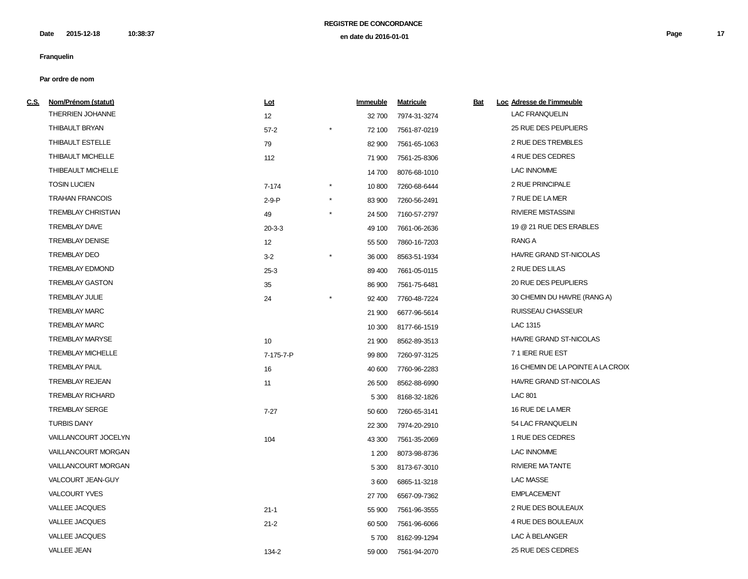| <u>C.S.</u> | Nom/Prénom (statut)       | <u>Lot</u>      |            | <b>Immeuble</b> | <b>Matricule</b> | <b>Bat</b> | Loc Adresse de l'immeuble         |
|-------------|---------------------------|-----------------|------------|-----------------|------------------|------------|-----------------------------------|
|             | THERRIEN JOHANNE          | 12              |            | 32 700          | 7974-31-3274     |            | <b>LAC FRANQUELIN</b>             |
|             | THIBAULT BRYAN            | $57-2$          |            | 72 100          | 7561-87-0219     |            | 25 RUE DES PEUPLIERS              |
|             | THIBAULT ESTELLE          | 79              |            | 82 900          | 7561-65-1063     |            | 2 RUE DES TREMBLES                |
|             | THIBAULT MICHELLE         | 112             |            | 71 900          | 7561-25-8306     |            | 4 RUE DES CEDRES                  |
|             | THIBEAULT MICHELLE        |                 |            | 14 700          | 8076-68-1010     |            | LAC INNOMME                       |
|             | <b>TOSIN LUCIEN</b>       | $7 - 174$       | $^{\star}$ | 10 800          | 7260-68-6444     |            | 2 RUE PRINCIPALE                  |
|             | <b>TRAHAN FRANCOIS</b>    | $2-9-P$         | $\star$    | 83 900          | 7260-56-2491     |            | 7 RUE DE LA MER                   |
|             | <b>TREMBLAY CHRISTIAN</b> | 49              | $\star$    | 24 500          | 7160-57-2797     |            | <b>RIVIERE MISTASSINI</b>         |
|             | <b>TREMBLAY DAVE</b>      | $20 - 3 - 3$    |            | 49 100          | 7661-06-2636     |            | 19 @ 21 RUE DES ERABLES           |
|             | <b>TREMBLAY DENISE</b>    | 12              |            | 55 500          | 7860-16-7203     |            | RANG A                            |
|             | <b>TREMBLAY DEO</b>       | $3 - 2$         |            | 36 000          | 8563-51-1934     |            | HAVRE GRAND ST-NICOLAS            |
|             | <b>TREMBLAY EDMOND</b>    | $25-3$          |            | 89 400          | 7661-05-0115     |            | 2 RUE DES LILAS                   |
|             | <b>TREMBLAY GASTON</b>    | 35              |            | 86 900          | 7561-75-6481     |            | 20 RUE DES PEUPLIERS              |
|             | <b>TREMBLAY JULIE</b>     | 24              |            | 92 400          | 7760-48-7224     |            | 30 CHEMIN DU HAVRE (RANG A)       |
|             | <b>TREMBLAY MARC</b>      |                 |            | 21 900          | 6677-96-5614     |            | <b>RUISSEAU CHASSEUR</b>          |
|             | <b>TREMBLAY MARC</b>      |                 |            | 10 300          | 8177-66-1519     |            | LAC 1315                          |
|             | TREMBLAY MARYSE           | 10 <sup>°</sup> |            | 21 900          | 8562-89-3513     |            | HAVRE GRAND ST-NICOLAS            |
|             | <b>TREMBLAY MICHELLE</b>  | 7-175-7-P       |            | 99 800          | 7260-97-3125     |            | 71 IERE RUE EST                   |
|             | <b>TREMBLAY PAUL</b>      | 16              |            | 40 600          | 7760-96-2283     |            | 16 CHEMIN DE LA POINTE A LA CROIX |
|             | <b>TREMBLAY REJEAN</b>    | 11              |            | 26 500          | 8562-88-6990     |            | HAVRE GRAND ST-NICOLAS            |
|             | <b>TREMBLAY RICHARD</b>   |                 |            | 5 3 0 0         | 8168-32-1826     |            | <b>LAC 801</b>                    |
|             | <b>TREMBLAY SERGE</b>     | $7 - 27$        |            | 50 600          | 7260-65-3141     |            | 16 RUE DE LA MER                  |
|             | <b>TURBIS DANY</b>        |                 |            | 22 300          | 7974-20-2910     |            | 54 LAC FRANQUELIN                 |
|             | VAILLANCOURT JOCELYN      | 104             |            | 43 300          | 7561-35-2069     |            | 1 RUE DES CEDRES                  |
|             | VAILLANCOURT MORGAN       |                 |            | 1 200           | 8073-98-8736     |            | <b>LAC INNOMME</b>                |
|             | VAILLANCOURT MORGAN       |                 |            | 5 3 0 0         | 8173-67-3010     |            | <b>RIVIERE MATANTE</b>            |
|             | VALCOURT JEAN-GUY         |                 |            | 3600            | 6865-11-3218     |            | <b>LAC MASSE</b>                  |
|             | <b>VALCOURT YVES</b>      |                 |            | 27 700          | 6567-09-7362     |            | <b>EMPLACEMENT</b>                |
|             | <b>VALLEE JACQUES</b>     | $21 - 1$        |            | 55 900          | 7561-96-3555     |            | 2 RUE DES BOULEAUX                |
|             | <b>VALLEE JACQUES</b>     | $21 - 2$        |            | 60 500          | 7561-96-6066     |            | 4 RUE DES BOULEAUX                |
|             | <b>VALLEE JACQUES</b>     |                 |            | 5700            | 8162-99-1294     |            | LAC À BELANGER                    |
|             | <b>VALLEE JEAN</b>        | 134-2           |            | 59 000          | 7561-94-2070     |            | 25 RUE DES CEDRES                 |